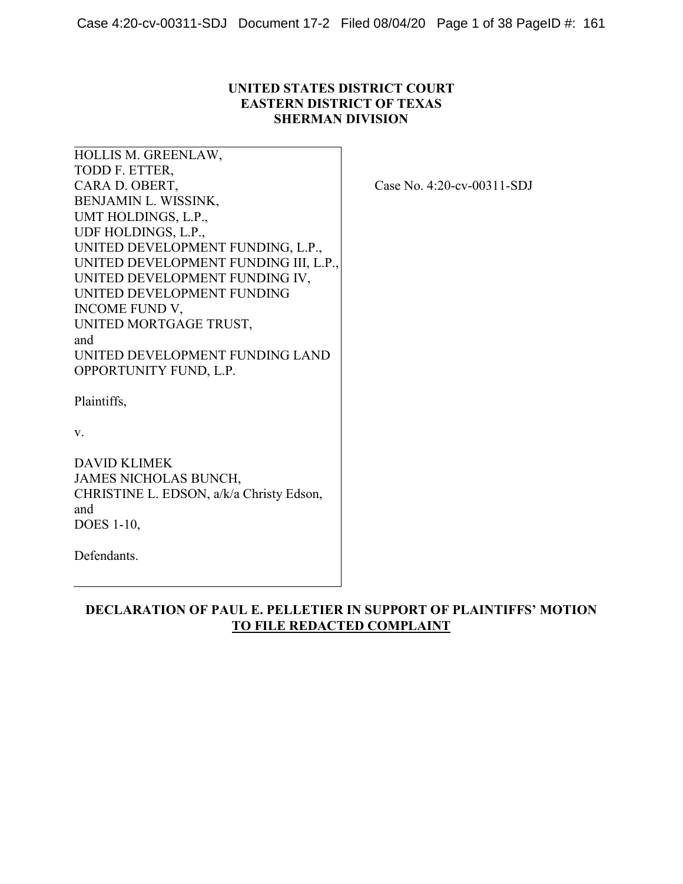## **UNITED STATES DISTRICT COURT EASTERN DISTRICT OF TEXAS SHERMAN DIVISION**

HOLLIS M. GREENLAW, TODD F. ETTER, CARA D. OBERT, BENJAMIN L. WISSINK, UMT HOLDINGS, L.P., UDF HOLDINGS, L.P., UNITED DEVELOPMENT FUNDING, L.P., UNITED DEVELOPMENT FUNDING III, L.P., UNITED DEVELOPMENT FUNDING IV, UNITED DEVELOPMENT FUNDING INCOME FUND V, UNITED MORTGAGE TRUST, and UNITED DEVELOPMENT FUNDING LAND OPPORTUNITY FUND, L.P.

Case No. 4:20-cv-00311-SDJ

Plaintiffs,

v.

DAVID KLIMEK JAMES NICHOLAS BUNCH, CHRISTINE L. EDSON, a/k/a Christy Edson, and DOES 1-10,

Defendants.

**DECLARATION OF PAUL E. PELLETIER IN SUPPORT OF PLAINTIFFS' MOTION TO FILE REDACTED COMPLAINT**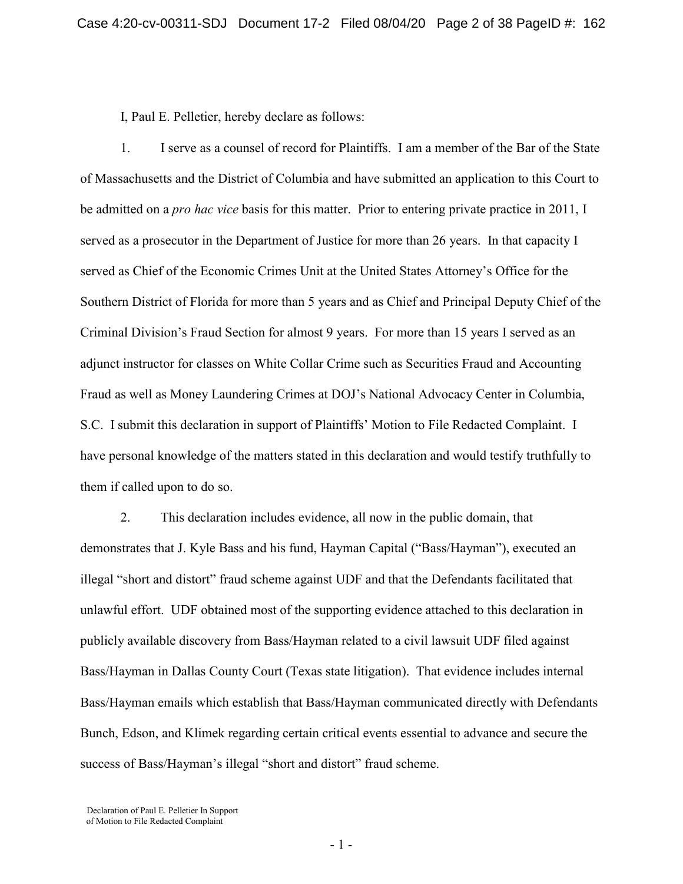I, Paul E. Pelletier, hereby declare as follows:

1. I serve as a counsel of record for Plaintiffs. I am a member of the Bar of the State of Massachusetts and the District of Columbia and have submitted an application to this Court to be admitted on a *pro hac vice* basis for this matter. Prior to entering private practice in 2011, I served as a prosecutor in the Department of Justice for more than 26 years. In that capacity I served as Chief of the Economic Crimes Unit at the United States Attorney's Office for the Southern District of Florida for more than 5 years and as Chief and Principal Deputy Chief of the Criminal Division's Fraud Section for almost 9 years. For more than 15 years I served as an adjunct instructor for classes on White Collar Crime such as Securities Fraud and Accounting Fraud as well as Money Laundering Crimes at DOJ's National Advocacy Center in Columbia, S.C. I submit this declaration in support of Plaintiffs' Motion to File Redacted Complaint. I have personal knowledge of the matters stated in this declaration and would testify truthfully to them if called upon to do so.

2. This declaration includes evidence, all now in the public domain, that demonstrates that J. Kyle Bass and his fund, Hayman Capital ("Bass/Hayman"), executed an illegal "short and distort" fraud scheme against UDF and that the Defendants facilitated that unlawful effort. UDF obtained most of the supporting evidence attached to this declaration in publicly available discovery from Bass/Hayman related to a civil lawsuit UDF filed against Bass/Hayman in Dallas County Court (Texas state litigation). That evidence includes internal Bass/Hayman emails which establish that Bass/Hayman communicated directly with Defendants Bunch, Edson, and Klimek regarding certain critical events essential to advance and secure the success of Bass/Hayman's illegal "short and distort" fraud scheme.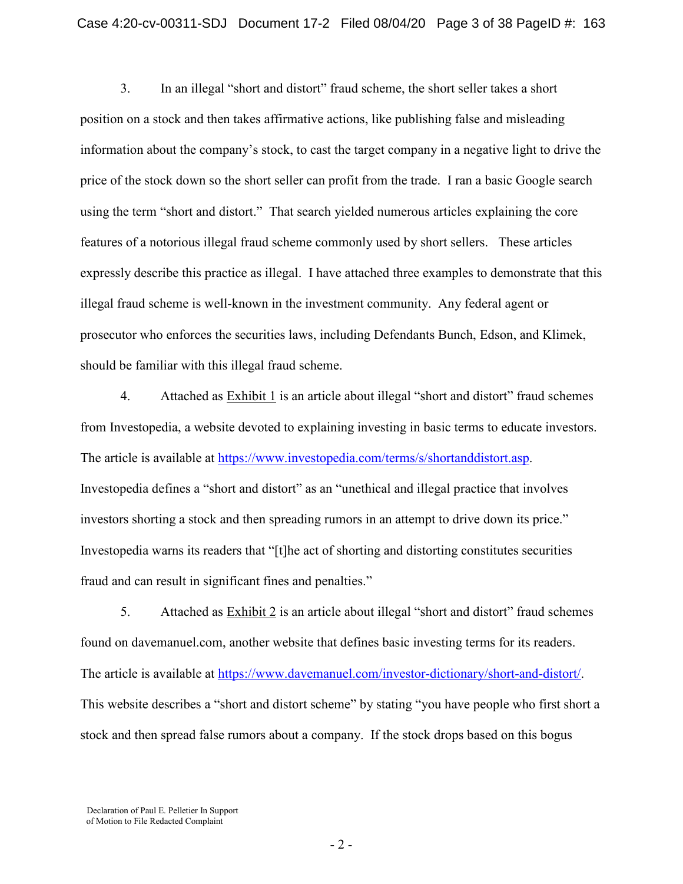3. In an illegal "short and distort" fraud scheme, the short seller takes a short position on a stock and then takes affirmative actions, like publishing false and misleading information about the company's stock, to cast the target company in a negative light to drive the price of the stock down so the short seller can profit from the trade. I ran a basic Google search using the term "short and distort." That search yielded numerous articles explaining the core features of a notorious illegal fraud scheme commonly used by short sellers. These articles expressly describe this practice as illegal. I have attached three examples to demonstrate that this illegal fraud scheme is well-known in the investment community. Any federal agent or prosecutor who enforces the securities laws, including Defendants Bunch, Edson, and Klimek, should be familiar with this illegal fraud scheme.

4. Attached as Exhibit 1 is an article about illegal "short and distort" fraud schemes from Investopedia, a website devoted to explaining investing in basic terms to educate investors. The article is available at [https://www.investopedia.com/terms/s/shortanddistort.asp.](https://www.investopedia.com/terms/s/shortanddistort.asp) Investopedia defines a "short and distort" as an "unethical and illegal practice that involves investors shorting a stock and then spreading rumors in an attempt to drive down its price." Investopedia warns its readers that "[t]he act of shorting and distorting constitutes securities fraud and can result in significant fines and penalties."

5. Attached as Exhibit 2 is an article about illegal "short and distort" fraud schemes found on davemanuel.com, another website that defines basic investing terms for its readers. The article is available at [https://www.davemanuel.com/investor-dictionary/short-and-distort/.](https://www.davemanuel.com/investor-dictionary/short-and-distort/) This website describes a "short and distort scheme" by stating "you have people who first short a stock and then spread false rumors about a company. If the stock drops based on this bogus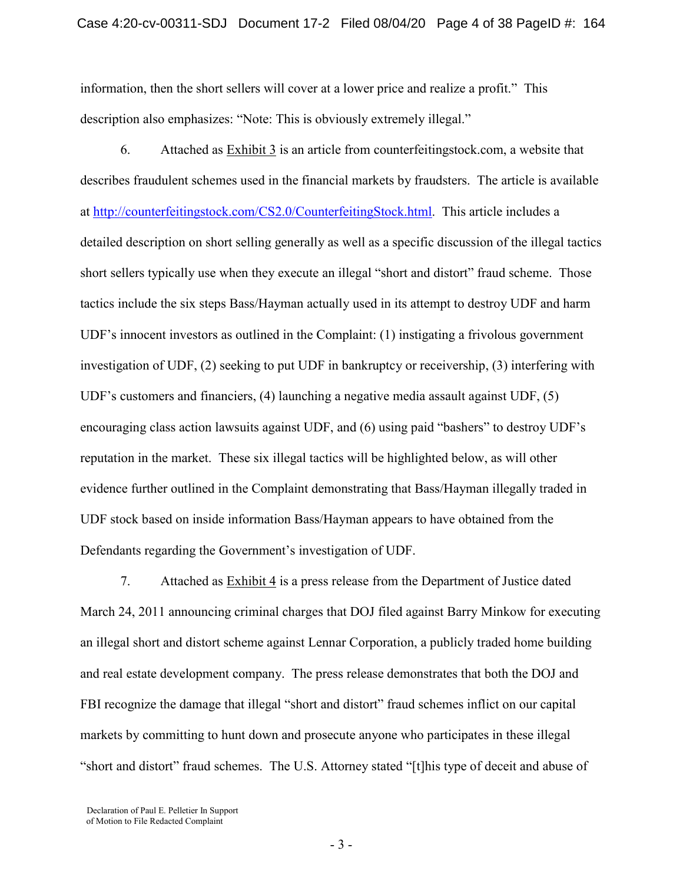information, then the short sellers will cover at a lower price and realize a profit." This description also emphasizes: "Note: This is obviously extremely illegal."

6. Attached as Exhibit 3 is an article from counterfeitingstock.com, a website that describes fraudulent schemes used in the financial markets by fraudsters. The article is available at [http://counterfeitingstock.com/CS2.0/CounterfeitingStock.html.](http://counterfeitingstock.com/CS2.0/CounterfeitingStock.html) This article includes a detailed description on short selling generally as well as a specific discussion of the illegal tactics short sellers typically use when they execute an illegal "short and distort" fraud scheme. Those tactics include the six steps Bass/Hayman actually used in its attempt to destroy UDF and harm UDF's innocent investors as outlined in the Complaint: (1) instigating a frivolous government investigation of UDF, (2) seeking to put UDF in bankruptcy or receivership, (3) interfering with UDF's customers and financiers, (4) launching a negative media assault against UDF, (5) encouraging class action lawsuits against UDF, and (6) using paid "bashers" to destroy UDF's reputation in the market. These six illegal tactics will be highlighted below, as will other evidence further outlined in the Complaint demonstrating that Bass/Hayman illegally traded in UDF stock based on inside information Bass/Hayman appears to have obtained from the Defendants regarding the Government's investigation of UDF.

7. Attached as Exhibit 4 is a press release from the Department of Justice dated March 24, 2011 announcing criminal charges that DOJ filed against Barry Minkow for executing an illegal short and distort scheme against Lennar Corporation, a publicly traded home building and real estate development company. The press release demonstrates that both the DOJ and FBI recognize the damage that illegal "short and distort" fraud schemes inflict on our capital markets by committing to hunt down and prosecute anyone who participates in these illegal "short and distort" fraud schemes. The U.S. Attorney stated "[t]his type of deceit and abuse of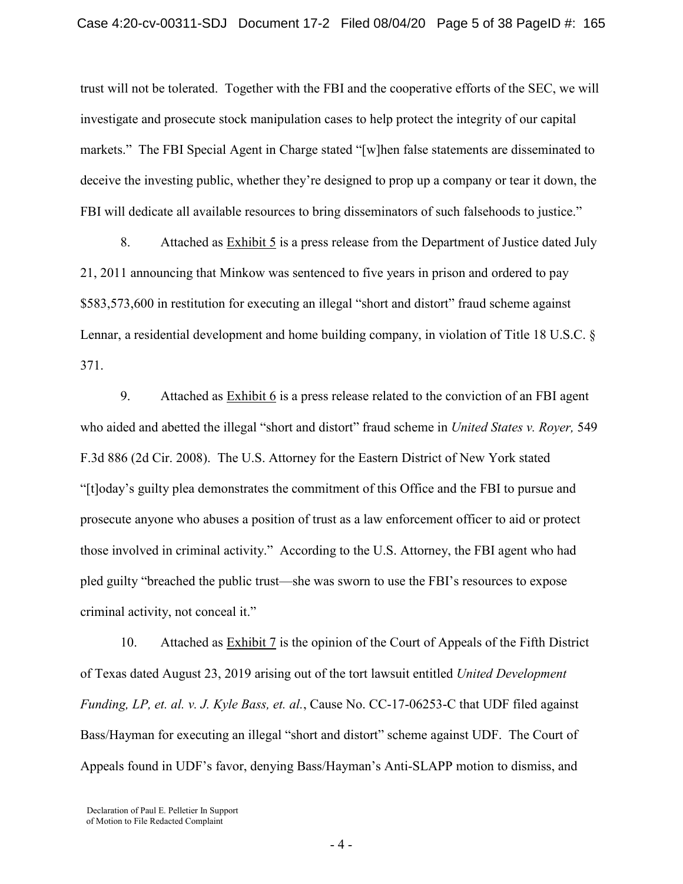trust will not be tolerated. Together with the FBI and the cooperative efforts of the SEC, we will investigate and prosecute stock manipulation cases to help protect the integrity of our capital markets." The FBI Special Agent in Charge stated "[w]hen false statements are disseminated to deceive the investing public, whether they're designed to prop up a company or tear it down, the FBI will dedicate all available resources to bring disseminators of such falsehoods to justice."

8. Attached as Exhibit 5 is a press release from the Department of Justice dated July 21, 2011 announcing that Minkow was sentenced to five years in prison and ordered to pay \$583,573,600 in restitution for executing an illegal "short and distort" fraud scheme against Lennar, a residential development and home building company, in violation of Title 18 U.S.C. § 371.

9. Attached as Exhibit 6 is a press release related to the conviction of an FBI agent who aided and abetted the illegal "short and distort" fraud scheme in *United States v. Royer,* 549 F.3d 886 (2d Cir. 2008).The U.S. Attorney for the Eastern District of New York stated "[t]oday's guilty plea demonstrates the commitment of this Office and the FBI to pursue and prosecute anyone who abuses a position of trust as a law enforcement officer to aid or protect those involved in criminal activity." According to the U.S. Attorney, the FBI agent who had pled guilty "breached the public trust—she was sworn to use the FBI's resources to expose criminal activity, not conceal it."

10. Attached as **Exhibit 7** is the opinion of the Court of Appeals of the Fifth District of Texas dated August 23, 2019 arising out of the tort lawsuit entitled *United Development Funding, LP, et. al. v. J. Kyle Bass, et. al.*, Cause No. CC-17-06253-C that UDF filed against Bass/Hayman for executing an illegal "short and distort" scheme against UDF. The Court of Appeals found in UDF's favor, denying Bass/Hayman's Anti-SLAPP motion to dismiss, and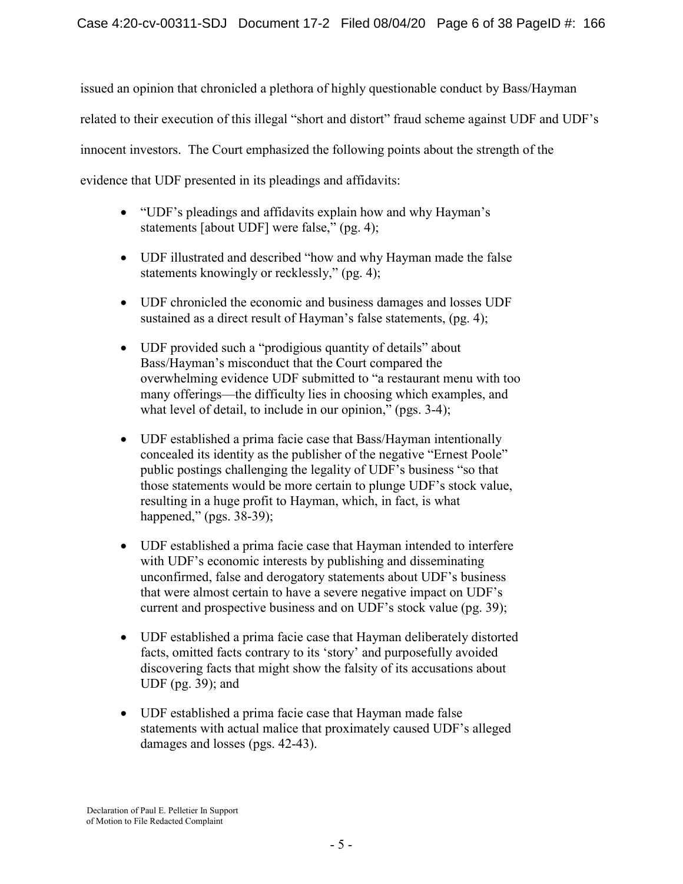issued an opinion that chronicled a plethora of highly questionable conduct by Bass/Hayman related to their execution of this illegal "short and distort" fraud scheme against UDF and UDF's innocent investors. The Court emphasized the following points about the strength of the evidence that UDF presented in its pleadings and affidavits:

- "UDF's pleadings and affidavits explain how and why Hayman's statements [about UDF] were false," (pg. 4);
- UDF illustrated and described "how and why Hayman made the false statements knowingly or recklessly," (pg. 4);
- UDF chronicled the economic and business damages and losses UDF sustained as a direct result of Hayman's false statements, (pg. 4);
- UDF provided such a "prodigious quantity of details" about Bass/Hayman's misconduct that the Court compared the overwhelming evidence UDF submitted to "a restaurant menu with too many offerings—the difficulty lies in choosing which examples, and what level of detail, to include in our opinion," (pgs. 3-4);
- UDF established a prima facie case that Bass/Hayman intentionally concealed its identity as the publisher of the negative "Ernest Poole" public postings challenging the legality of UDF's business "so that those statements would be more certain to plunge UDF's stock value, resulting in a huge profit to Hayman, which, in fact, is what happened," (pgs. 38-39);
- UDF established a prima facie case that Hayman intended to interfere with UDF's economic interests by publishing and disseminating unconfirmed, false and derogatory statements about UDF's business that were almost certain to have a severe negative impact on UDF's current and prospective business and on UDF's stock value (pg. 39);
- UDF established a prima facie case that Hayman deliberately distorted facts, omitted facts contrary to its 'story' and purposefully avoided discovering facts that might show the falsity of its accusations about UDF (pg. 39); and
- UDF established a prima facie case that Hayman made false statements with actual malice that proximately caused UDF's alleged damages and losses (pgs. 42-43).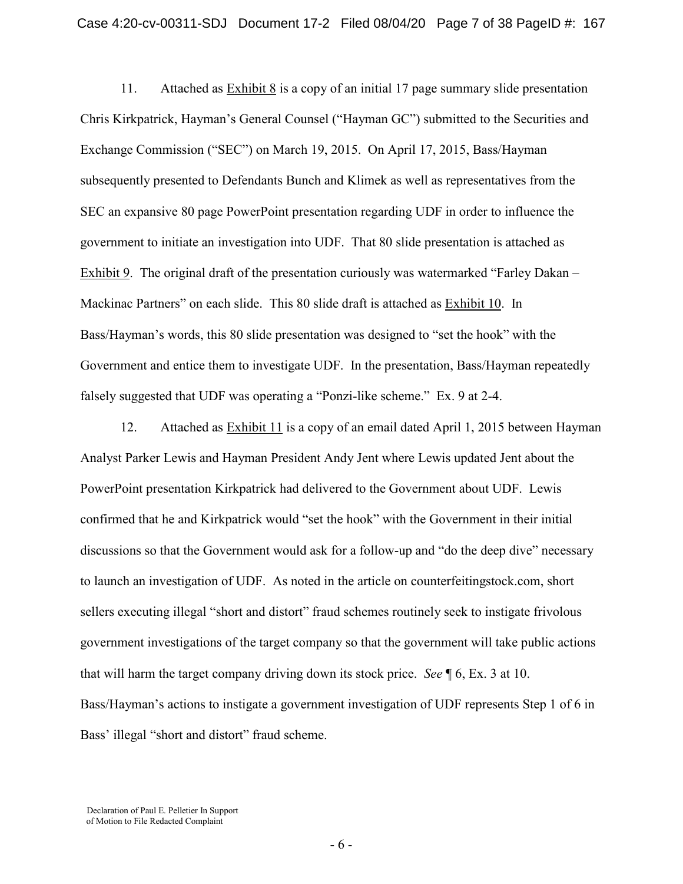11. Attached as Exhibit 8 is a copy of an initial 17 page summary slide presentation Chris Kirkpatrick, Hayman's General Counsel ("Hayman GC") submitted to the Securities and Exchange Commission ("SEC") on March 19, 2015. On April 17, 2015, Bass/Hayman subsequently presented to Defendants Bunch and Klimek as well as representatives from the SEC an expansive 80 page PowerPoint presentation regarding UDF in order to influence the government to initiate an investigation into UDF. That 80 slide presentation is attached as Exhibit 9. The original draft of the presentation curiously was watermarked "Farley Dakan – Mackinac Partners" on each slide. This 80 slide draft is attached as Exhibit 10. In Bass/Hayman's words, this 80 slide presentation was designed to "set the hook" with the Government and entice them to investigate UDF. In the presentation, Bass/Hayman repeatedly falsely suggested that UDF was operating a "Ponzi-like scheme." Ex. 9 at 2-4.

12. Attached as Exhibit 11 is a copy of an email dated April 1, 2015 between Hayman Analyst Parker Lewis and Hayman President Andy Jent where Lewis updated Jent about the PowerPoint presentation Kirkpatrick had delivered to the Government about UDF. Lewis confirmed that he and Kirkpatrick would "set the hook" with the Government in their initial discussions so that the Government would ask for a follow-up and "do the deep dive" necessary to launch an investigation of UDF. As noted in the article on counterfeitingstock.com, short sellers executing illegal "short and distort" fraud schemes routinely seek to instigate frivolous government investigations of the target company so that the government will take public actions that will harm the target company driving down its stock price. *See* ¶ 6, Ex. 3 at 10. Bass/Hayman's actions to instigate a government investigation of UDF represents Step 1 of 6 in Bass' illegal "short and distort" fraud scheme.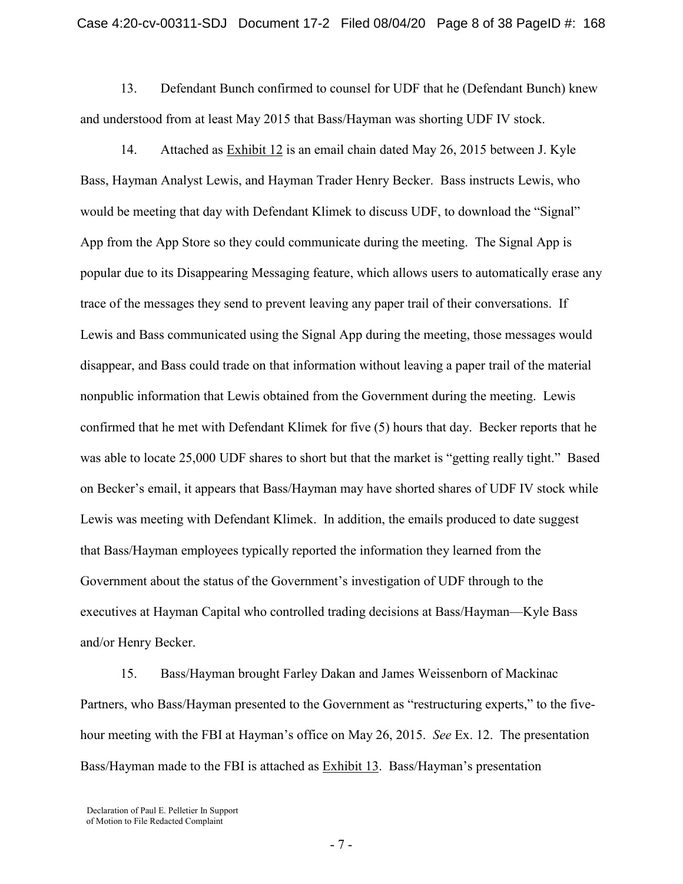13. Defendant Bunch confirmed to counsel for UDF that he (Defendant Bunch) knew and understood from at least May 2015 that Bass/Hayman was shorting UDF IV stock.

14. Attached as Exhibit 12 is an email chain dated May 26, 2015 between J. Kyle Bass, Hayman Analyst Lewis, and Hayman Trader Henry Becker. Bass instructs Lewis, who would be meeting that day with Defendant Klimek to discuss UDF, to download the "Signal" App from the App Store so they could communicate during the meeting. The Signal App is popular due to its Disappearing Messaging feature, which allows users to automatically erase any trace of the messages they send to prevent leaving any paper trail of their conversations. If Lewis and Bass communicated using the Signal App during the meeting, those messages would disappear, and Bass could trade on that information without leaving a paper trail of the material nonpublic information that Lewis obtained from the Government during the meeting. Lewis confirmed that he met with Defendant Klimek for five (5) hours that day. Becker reports that he was able to locate 25,000 UDF shares to short but that the market is "getting really tight." Based on Becker's email, it appears that Bass/Hayman may have shorted shares of UDF IV stock while Lewis was meeting with Defendant Klimek. In addition, the emails produced to date suggest that Bass/Hayman employees typically reported the information they learned from the Government about the status of the Government's investigation of UDF through to the executives at Hayman Capital who controlled trading decisions at Bass/Hayman—Kyle Bass and/or Henry Becker.

15. Bass/Hayman brought Farley Dakan and James Weissenborn of Mackinac Partners, who Bass/Hayman presented to the Government as "restructuring experts," to the fivehour meeting with the FBI at Hayman's office on May 26, 2015. *See* Ex. 12. The presentation Bass/Hayman made to the FBI is attached as Exhibit 13. Bass/Hayman's presentation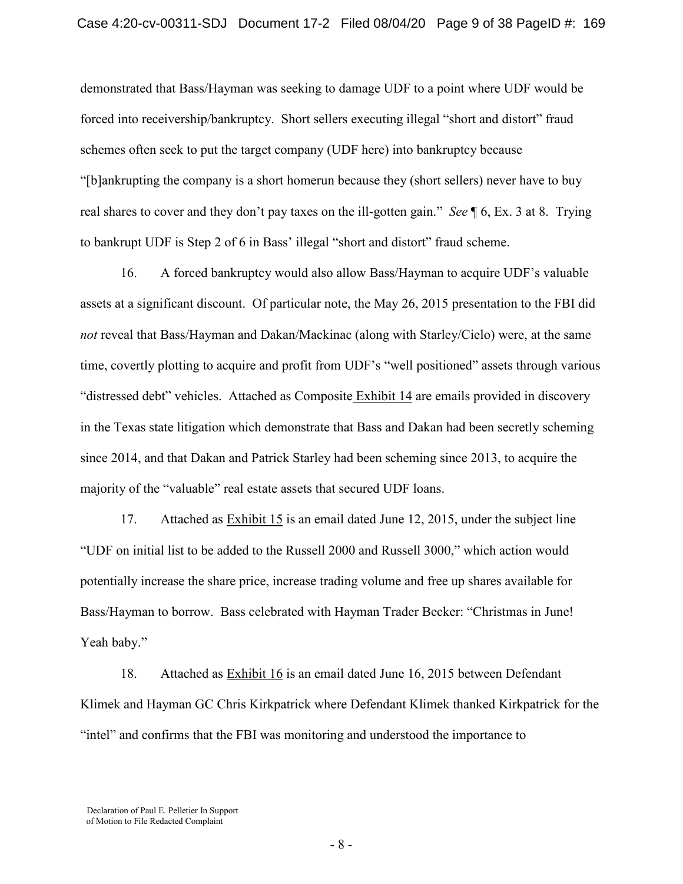demonstrated that Bass/Hayman was seeking to damage UDF to a point where UDF would be forced into receivership/bankruptcy. Short sellers executing illegal "short and distort" fraud schemes often seek to put the target company (UDF here) into bankruptcy because "[b]ankrupting the company is a short homerun because they (short sellers) never have to buy real shares to cover and they don't pay taxes on the ill-gotten gain." *See* ¶ 6, Ex. 3 at 8. Trying to bankrupt UDF is Step 2 of 6 in Bass' illegal "short and distort" fraud scheme.

16. A forced bankruptcy would also allow Bass/Hayman to acquire UDF's valuable assets at a significant discount. Of particular note, the May 26, 2015 presentation to the FBI did *not* reveal that Bass/Hayman and Dakan/Mackinac (along with Starley/Cielo) were, at the same time, covertly plotting to acquire and profit from UDF's "well positioned" assets through various "distressed debt" vehicles. Attached as Composite Exhibit 14 are emails provided in discovery in the Texas state litigation which demonstrate that Bass and Dakan had been secretly scheming since 2014, and that Dakan and Patrick Starley had been scheming since 2013, to acquire the majority of the "valuable" real estate assets that secured UDF loans.

17. Attached as Exhibit 15 is an email dated June 12, 2015, under the subject line "UDF on initial list to be added to the Russell 2000 and Russell 3000," which action would potentially increase the share price, increase trading volume and free up shares available for Bass/Hayman to borrow. Bass celebrated with Hayman Trader Becker: "Christmas in June! Yeah baby."

18. Attached as **Exhibit 16** is an email dated June 16, 2015 between Defendant Klimek and Hayman GC Chris Kirkpatrick where Defendant Klimek thanked Kirkpatrick for the "intel" and confirms that the FBI was monitoring and understood the importance to

Declaration of Paul E. Pelletier In Support of Motion to File Redacted Complaint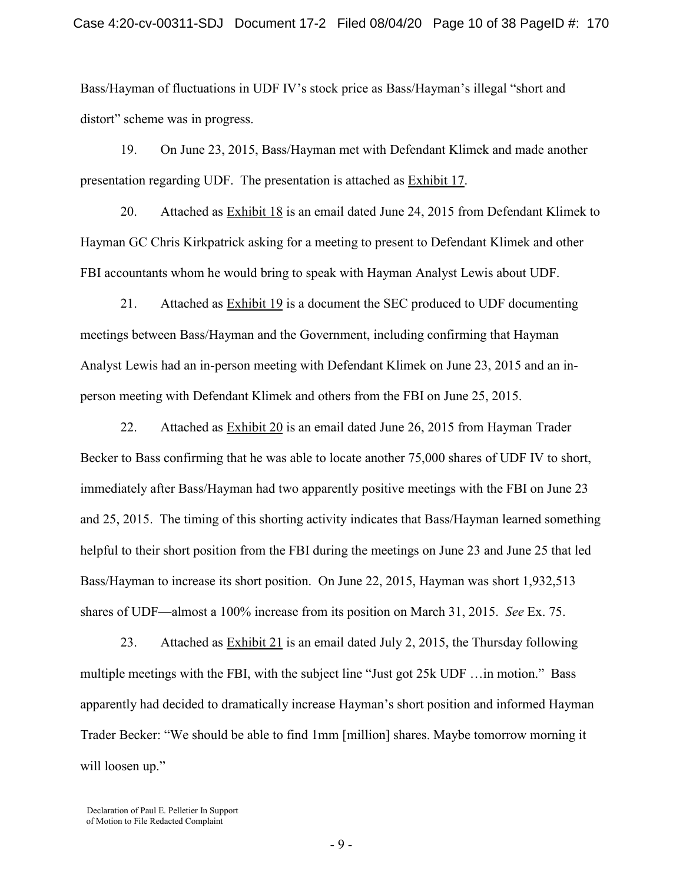Bass/Hayman of fluctuations in UDF IV's stock price as Bass/Hayman's illegal "short and distort" scheme was in progress.

19. On June 23, 2015, Bass/Hayman met with Defendant Klimek and made another presentation regarding UDF. The presentation is attached as Exhibit 17.

20. Attached as Exhibit 18 is an email dated June 24, 2015 from Defendant Klimek to Hayman GC Chris Kirkpatrick asking for a meeting to present to Defendant Klimek and other FBI accountants whom he would bring to speak with Hayman Analyst Lewis about UDF.

21. Attached as Exhibit 19 is a document the SEC produced to UDF documenting meetings between Bass/Hayman and the Government, including confirming that Hayman Analyst Lewis had an in-person meeting with Defendant Klimek on June 23, 2015 and an inperson meeting with Defendant Klimek and others from the FBI on June 25, 2015.

22. Attached as Exhibit 20 is an email dated June 26, 2015 from Hayman Trader Becker to Bass confirming that he was able to locate another 75,000 shares of UDF IV to short, immediately after Bass/Hayman had two apparently positive meetings with the FBI on June 23 and 25, 2015. The timing of this shorting activity indicates that Bass/Hayman learned something helpful to their short position from the FBI during the meetings on June 23 and June 25 that led Bass/Hayman to increase its short position. On June 22, 2015, Hayman was short 1,932,513 shares of UDF—almost a 100% increase from its position on March 31, 2015. *See* Ex. 75.

23. Attached as  $\frac{Exhibit 21}{2}$  is an email dated July 2, 2015, the Thursday following multiple meetings with the FBI, with the subject line "Just got 25k UDF …in motion." Bass apparently had decided to dramatically increase Hayman's short position and informed Hayman Trader Becker: "We should be able to find 1mm [million] shares. Maybe tomorrow morning it will loosen up."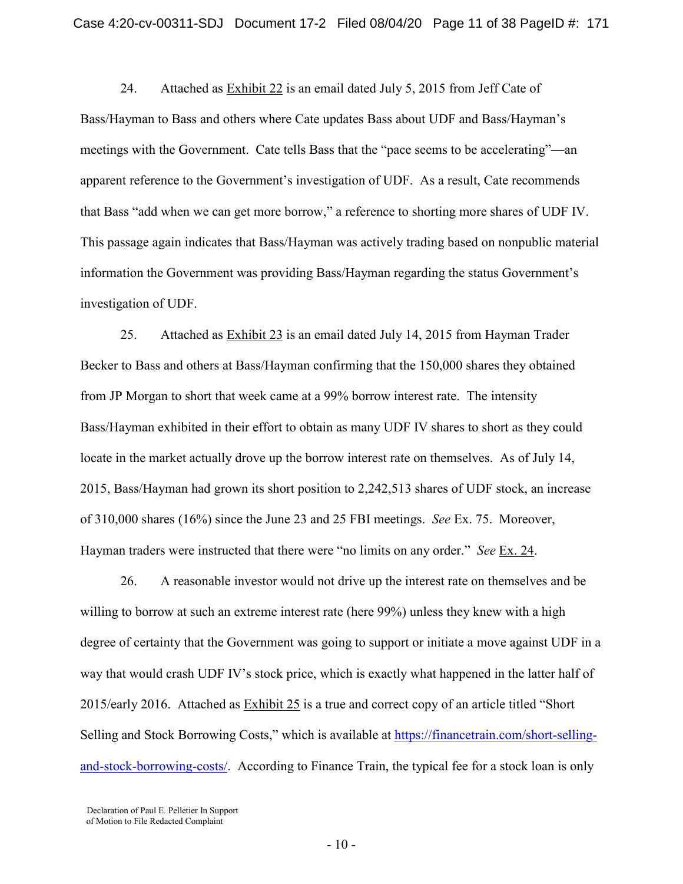24. Attached as Exhibit 22 is an email dated July 5, 2015 from Jeff Cate of Bass/Hayman to Bass and others where Cate updates Bass about UDF and Bass/Hayman's meetings with the Government. Cate tells Bass that the "pace seems to be accelerating"—an apparent reference to the Government's investigation of UDF. As a result, Cate recommends that Bass "add when we can get more borrow," a reference to shorting more shares of UDF IV. This passage again indicates that Bass/Hayman was actively trading based on nonpublic material information the Government was providing Bass/Hayman regarding the status Government's investigation of UDF.

25. Attached as Exhibit 23 is an email dated July 14, 2015 from Hayman Trader Becker to Bass and others at Bass/Hayman confirming that the 150,000 shares they obtained from JP Morgan to short that week came at a 99% borrow interest rate. The intensity Bass/Hayman exhibited in their effort to obtain as many UDF IV shares to short as they could locate in the market actually drove up the borrow interest rate on themselves. As of July 14, 2015, Bass/Hayman had grown its short position to 2,242,513 shares of UDF stock, an increase of 310,000 shares (16%) since the June 23 and 25 FBI meetings. *See* Ex. 75. Moreover, Hayman traders were instructed that there were "no limits on any order." *See* Ex. 24.

26. A reasonable investor would not drive up the interest rate on themselves and be willing to borrow at such an extreme interest rate (here 99%) unless they knew with a high degree of certainty that the Government was going to support or initiate a move against UDF in a way that would crash UDF IV's stock price, which is exactly what happened in the latter half of 2015/early 2016. Attached as Exhibit 25 is a true and correct copy of an article titled "Short Selling and Stock Borrowing Costs," which is available at [https://financetrain.com/short-selling](https://financetrain.com/short-selling-and-stock-borrowing-costs/)[and-stock-borrowing-costs/.](https://financetrain.com/short-selling-and-stock-borrowing-costs/) According to Finance Train, the typical fee for a stock loan is only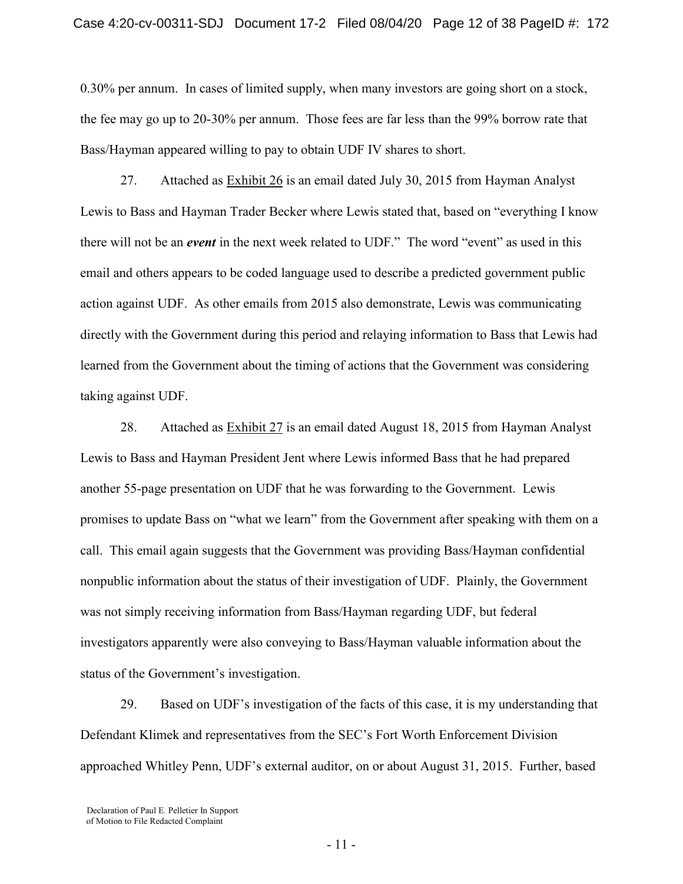0.30% per annum. In cases of limited supply, when many investors are going short on a stock, the fee may go up to 20-30% per annum. Those fees are far less than the 99% borrow rate that Bass/Hayman appeared willing to pay to obtain UDF IV shares to short.

27. Attached as Exhibit 26 is an email dated July 30, 2015 from Hayman Analyst Lewis to Bass and Hayman Trader Becker where Lewis stated that, based on "everything I know there will not be an *event* in the next week related to UDF." The word "event" as used in this email and others appears to be coded language used to describe a predicted government public action against UDF. As other emails from 2015 also demonstrate, Lewis was communicating directly with the Government during this period and relaying information to Bass that Lewis had learned from the Government about the timing of actions that the Government was considering taking against UDF.

28. Attached as Exhibit 27 is an email dated August 18, 2015 from Hayman Analyst Lewis to Bass and Hayman President Jent where Lewis informed Bass that he had prepared another 55-page presentation on UDF that he was forwarding to the Government. Lewis promises to update Bass on "what we learn" from the Government after speaking with them on a call. This email again suggests that the Government was providing Bass/Hayman confidential nonpublic information about the status of their investigation of UDF. Plainly, the Government was not simply receiving information from Bass/Hayman regarding UDF, but federal investigators apparently were also conveying to Bass/Hayman valuable information about the status of the Government's investigation.

29. Based on UDF's investigation of the facts of this case, it is my understanding that Defendant Klimek and representatives from the SEC's Fort Worth Enforcement Division approached Whitley Penn, UDF's external auditor, on or about August 31, 2015. Further, based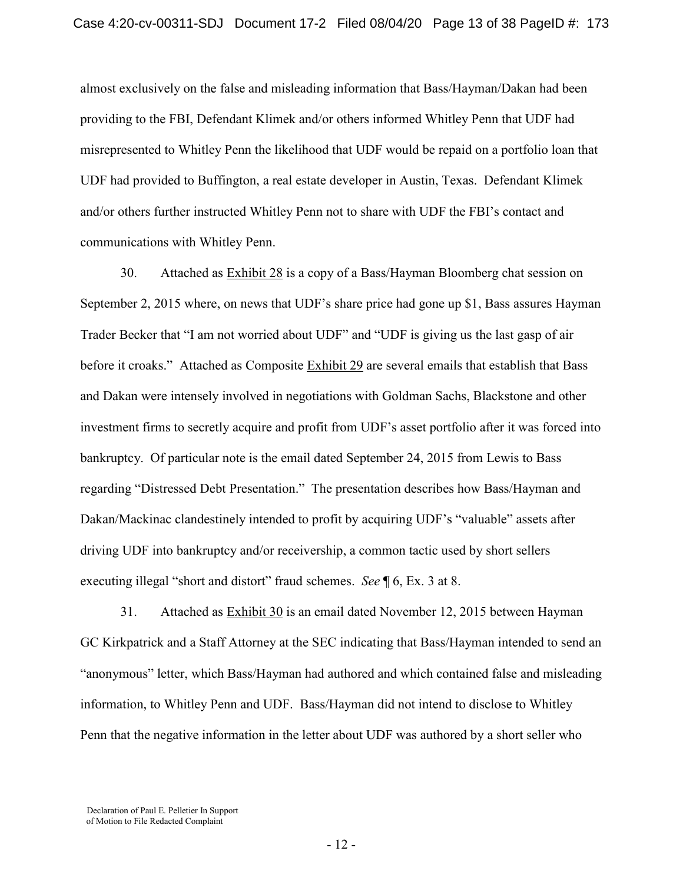almost exclusively on the false and misleading information that Bass/Hayman/Dakan had been providing to the FBI, Defendant Klimek and/or others informed Whitley Penn that UDF had misrepresented to Whitley Penn the likelihood that UDF would be repaid on a portfolio loan that UDF had provided to Buffington, a real estate developer in Austin, Texas. Defendant Klimek and/or others further instructed Whitley Penn not to share with UDF the FBI's contact and communications with Whitley Penn.

30. Attached as Exhibit 28 is a copy of a Bass/Hayman Bloomberg chat session on September 2, 2015 where, on news that UDF's share price had gone up \$1, Bass assures Hayman Trader Becker that "I am not worried about UDF" and "UDF is giving us the last gasp of air before it croaks." Attached as Composite Exhibit 29 are several emails that establish that Bass and Dakan were intensely involved in negotiations with Goldman Sachs, Blackstone and other investment firms to secretly acquire and profit from UDF's asset portfolio after it was forced into bankruptcy. Of particular note is the email dated September 24, 2015 from Lewis to Bass regarding "Distressed Debt Presentation." The presentation describes how Bass/Hayman and Dakan/Mackinac clandestinely intended to profit by acquiring UDF's "valuable" assets after driving UDF into bankruptcy and/or receivership, a common tactic used by short sellers executing illegal "short and distort" fraud schemes. *See* ¶ 6, Ex. 3 at 8.

31. Attached as Exhibit 30 is an email dated November 12, 2015 between Hayman GC Kirkpatrick and a Staff Attorney at the SEC indicating that Bass/Hayman intended to send an "anonymous" letter, which Bass/Hayman had authored and which contained false and misleading information, to Whitley Penn and UDF. Bass/Hayman did not intend to disclose to Whitley Penn that the negative information in the letter about UDF was authored by a short seller who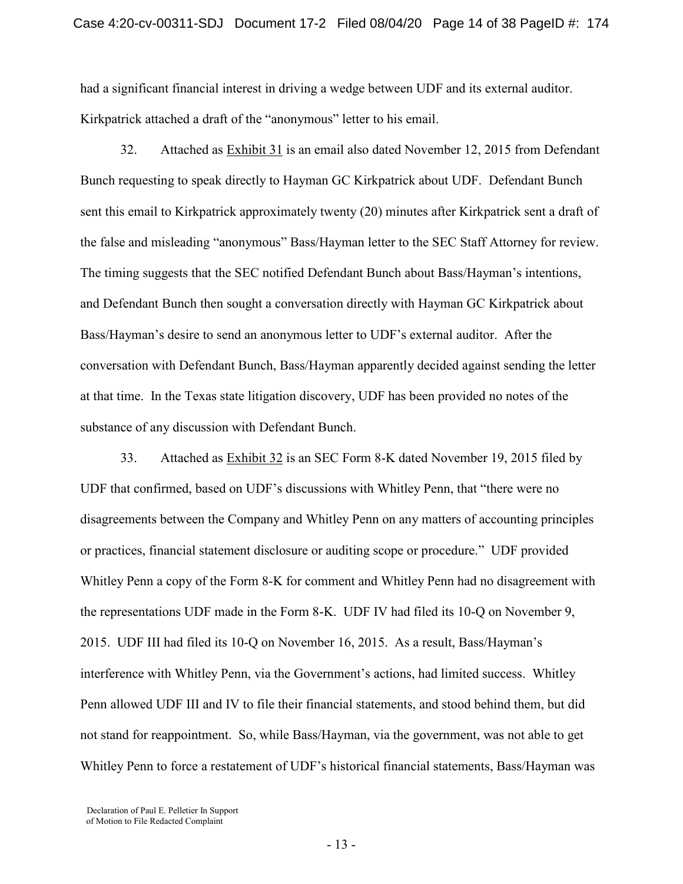had a significant financial interest in driving a wedge between UDF and its external auditor. Kirkpatrick attached a draft of the "anonymous" letter to his email.

32. Attached as Exhibit 31 is an email also dated November 12, 2015 from Defendant Bunch requesting to speak directly to Hayman GC Kirkpatrick about UDF. Defendant Bunch sent this email to Kirkpatrick approximately twenty (20) minutes after Kirkpatrick sent a draft of the false and misleading "anonymous" Bass/Hayman letter to the SEC Staff Attorney for review. The timing suggests that the SEC notified Defendant Bunch about Bass/Hayman's intentions, and Defendant Bunch then sought a conversation directly with Hayman GC Kirkpatrick about Bass/Hayman's desire to send an anonymous letter to UDF's external auditor. After the conversation with Defendant Bunch, Bass/Hayman apparently decided against sending the letter at that time. In the Texas state litigation discovery, UDF has been provided no notes of the substance of any discussion with Defendant Bunch.

33. Attached as Exhibit 32 is an SEC Form 8-K dated November 19, 2015 filed by UDF that confirmed, based on UDF's discussions with Whitley Penn, that "there were no disagreements between the Company and Whitley Penn on any matters of accounting principles or practices, financial statement disclosure or auditing scope or procedure." UDF provided Whitley Penn a copy of the Form 8-K for comment and Whitley Penn had no disagreement with the representations UDF made in the Form 8-K. UDF IV had filed its 10-Q on November 9, 2015. UDF III had filed its 10-Q on November 16, 2015. As a result, Bass/Hayman's interference with Whitley Penn, via the Government's actions, had limited success. Whitley Penn allowed UDF III and IV to file their financial statements, and stood behind them, but did not stand for reappointment. So, while Bass/Hayman, via the government, was not able to get Whitley Penn to force a restatement of UDF's historical financial statements, Bass/Hayman was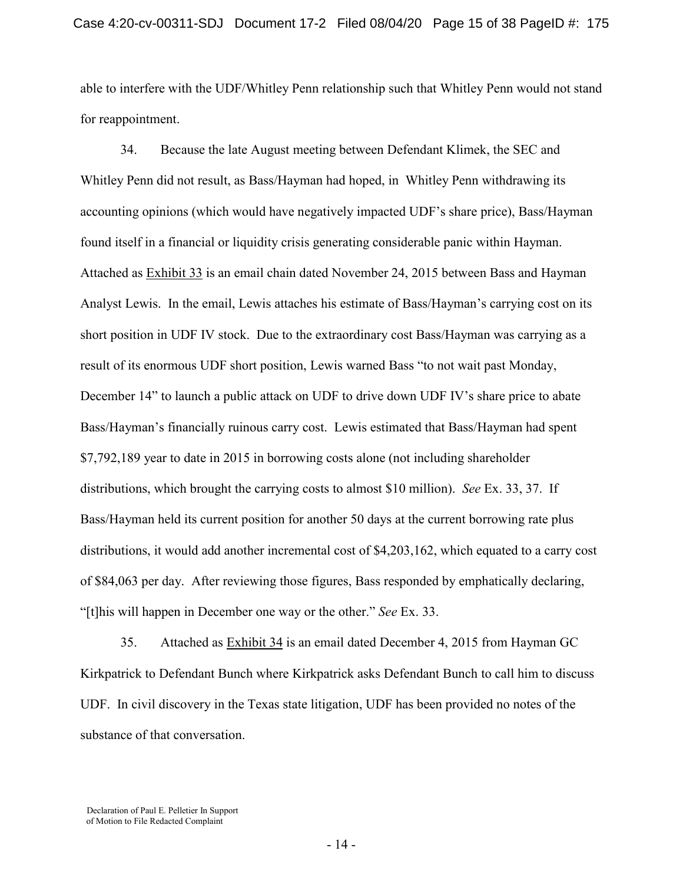able to interfere with the UDF/Whitley Penn relationship such that Whitley Penn would not stand for reappointment.

34. Because the late August meeting between Defendant Klimek, the SEC and Whitley Penn did not result, as Bass/Hayman had hoped, in Whitley Penn withdrawing its accounting opinions (which would have negatively impacted UDF's share price), Bass/Hayman found itself in a financial or liquidity crisis generating considerable panic within Hayman. Attached as Exhibit 33 is an email chain dated November 24, 2015 between Bass and Hayman Analyst Lewis. In the email, Lewis attaches his estimate of Bass/Hayman's carrying cost on its short position in UDF IV stock. Due to the extraordinary cost Bass/Hayman was carrying as a result of its enormous UDF short position, Lewis warned Bass "to not wait past Monday, December 14" to launch a public attack on UDF to drive down UDF IV's share price to abate Bass/Hayman's financially ruinous carry cost. Lewis estimated that Bass/Hayman had spent \$7,792,189 year to date in 2015 in borrowing costs alone (not including shareholder distributions, which brought the carrying costs to almost \$10 million). *See* Ex. 33, 37. If Bass/Hayman held its current position for another 50 days at the current borrowing rate plus distributions, it would add another incremental cost of \$4,203,162, which equated to a carry cost of \$84,063 per day. After reviewing those figures, Bass responded by emphatically declaring, "[t]his will happen in December one way or the other." *See* Ex. 33.

35. Attached as **Exhibit 34** is an email dated December 4, 2015 from Hayman GC Kirkpatrick to Defendant Bunch where Kirkpatrick asks Defendant Bunch to call him to discuss UDF. In civil discovery in the Texas state litigation, UDF has been provided no notes of the substance of that conversation.

Declaration of Paul E. Pelletier In Support of Motion to File Redacted Complaint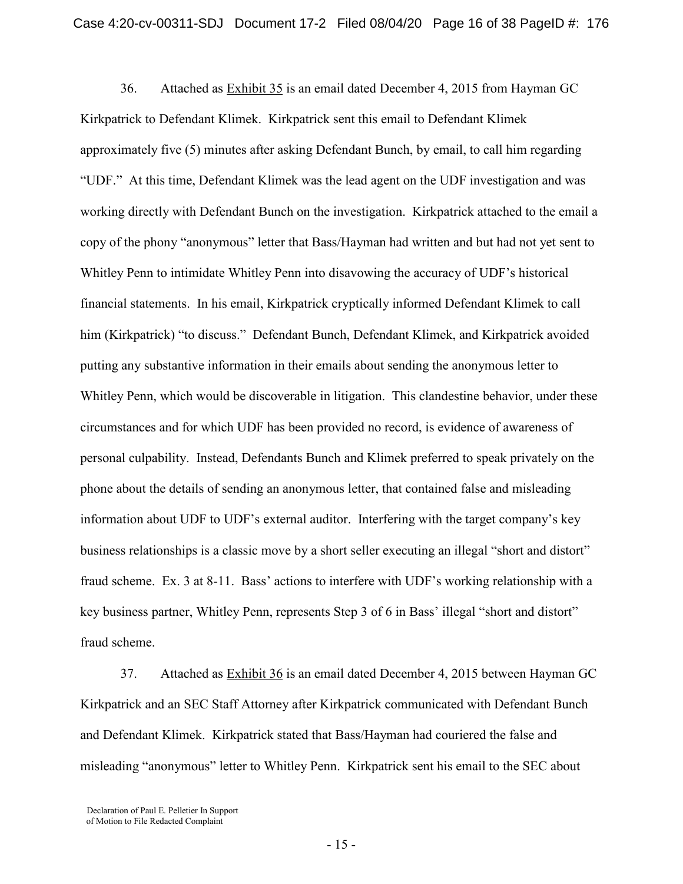36. Attached as Exhibit 35 is an email dated December 4, 2015 from Hayman GC Kirkpatrick to Defendant Klimek. Kirkpatrick sent this email to Defendant Klimek approximately five (5) minutes after asking Defendant Bunch, by email, to call him regarding "UDF." At this time, Defendant Klimek was the lead agent on the UDF investigation and was working directly with Defendant Bunch on the investigation. Kirkpatrick attached to the email a copy of the phony "anonymous" letter that Bass/Hayman had written and but had not yet sent to Whitley Penn to intimidate Whitley Penn into disavowing the accuracy of UDF's historical financial statements. In his email, Kirkpatrick cryptically informed Defendant Klimek to call him (Kirkpatrick) "to discuss." Defendant Bunch, Defendant Klimek, and Kirkpatrick avoided putting any substantive information in their emails about sending the anonymous letter to Whitley Penn, which would be discoverable in litigation. This clandestine behavior, under these circumstances and for which UDF has been provided no record, is evidence of awareness of personal culpability. Instead, Defendants Bunch and Klimek preferred to speak privately on the phone about the details of sending an anonymous letter, that contained false and misleading information about UDF to UDF's external auditor. Interfering with the target company's key business relationships is a classic move by a short seller executing an illegal "short and distort" fraud scheme. Ex. 3 at 8-11. Bass' actions to interfere with UDF's working relationship with a key business partner, Whitley Penn, represents Step 3 of 6 in Bass' illegal "short and distort" fraud scheme.

37. Attached as Exhibit 36 is an email dated December 4, 2015 between Hayman GC Kirkpatrick and an SEC Staff Attorney after Kirkpatrick communicated with Defendant Bunch and Defendant Klimek. Kirkpatrick stated that Bass/Hayman had couriered the false and misleading "anonymous" letter to Whitley Penn. Kirkpatrick sent his email to the SEC about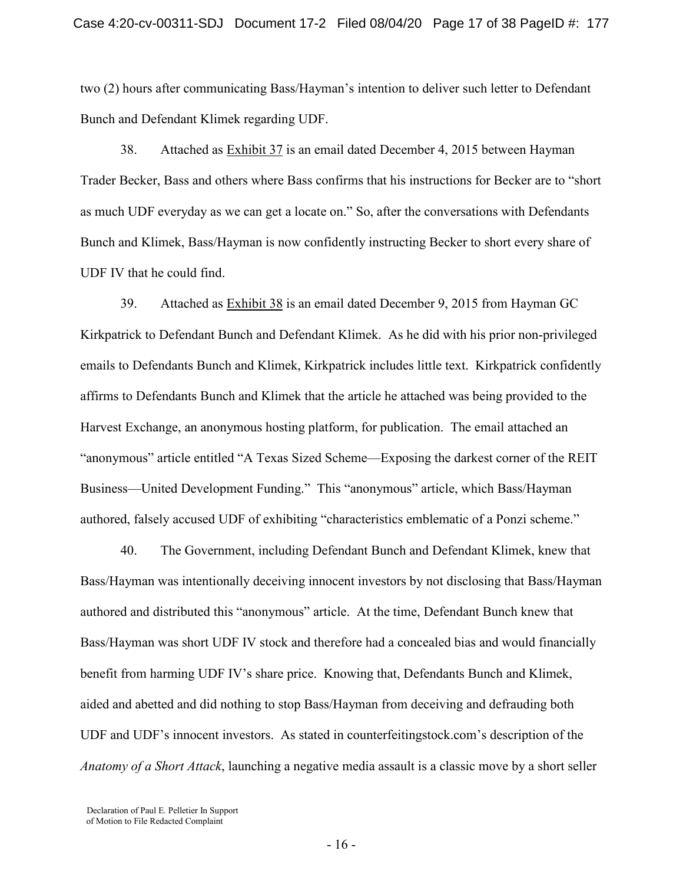two (2) hours after communicating Bass/Hayman's intention to deliver such letter to Defendant Bunch and Defendant Klimek regarding UDF.

38. Attached as Exhibit 37 is an email dated December 4, 2015 between Hayman Trader Becker, Bass and others where Bass confirms that his instructions for Becker are to "short as much UDF everyday as we can get a locate on." So, after the conversations with Defendants Bunch and Klimek, Bass/Hayman is now confidently instructing Becker to short every share of UDF IV that he could find.

39. Attached as Exhibit 38 is an email dated December 9, 2015 from Hayman GC Kirkpatrick to Defendant Bunch and Defendant Klimek. As he did with his prior non-privileged emails to Defendants Bunch and Klimek, Kirkpatrick includes little text. Kirkpatrick confidently affirms to Defendants Bunch and Klimek that the article he attached was being provided to the Harvest Exchange, an anonymous hosting platform, for publication. The email attached an "anonymous" article entitled "A Texas Sized Scheme—Exposing the darkest corner of the REIT Business—United Development Funding." This "anonymous" article, which Bass/Hayman authored, falsely accused UDF of exhibiting "characteristics emblematic of a Ponzi scheme."

40. The Government, including Defendant Bunch and Defendant Klimek, knew that Bass/Hayman was intentionally deceiving innocent investors by not disclosing that Bass/Hayman authored and distributed this "anonymous" article. At the time, Defendant Bunch knew that Bass/Hayman was short UDF IV stock and therefore had a concealed bias and would financially benefit from harming UDF IV's share price. Knowing that, Defendants Bunch and Klimek, aided and abetted and did nothing to stop Bass/Hayman from deceiving and defrauding both UDF and UDF's innocent investors. As stated in counterfeitingstock.com's description of the *Anatomy of a Short Attack*, launching a negative media assault is a classic move by a short seller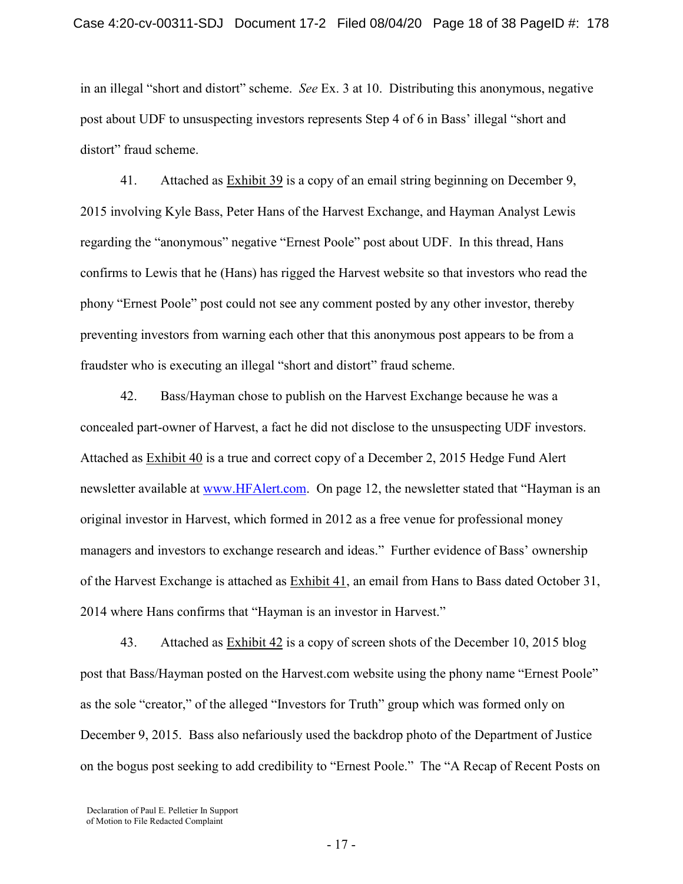in an illegal "short and distort" scheme. *See* Ex. 3 at 10. Distributing this anonymous, negative post about UDF to unsuspecting investors represents Step 4 of 6 in Bass' illegal "short and distort" fraud scheme.

41. Attached as Exhibit 39 is a copy of an email string beginning on December 9, 2015 involving Kyle Bass, Peter Hans of the Harvest Exchange, and Hayman Analyst Lewis regarding the "anonymous" negative "Ernest Poole" post about UDF. In this thread, Hans confirms to Lewis that he (Hans) has rigged the Harvest website so that investors who read the phony "Ernest Poole" post could not see any comment posted by any other investor, thereby preventing investors from warning each other that this anonymous post appears to be from a fraudster who is executing an illegal "short and distort" fraud scheme.

42. Bass/Hayman chose to publish on the Harvest Exchange because he was a concealed part-owner of Harvest, a fact he did not disclose to the unsuspecting UDF investors. Attached as Exhibit 40 is a true and correct copy of a December 2, 2015 Hedge Fund Alert newsletter available at [www.HFAlert.com.](http://www.hfalert.com/) On page 12, the newsletter stated that "Hayman is an original investor in Harvest, which formed in 2012 as a free venue for professional money managers and investors to exchange research and ideas." Further evidence of Bass' ownership of the Harvest Exchange is attached as Exhibit 41, an email from Hans to Bass dated October 31, 2014 where Hans confirms that "Hayman is an investor in Harvest."

43. Attached as **Exhibit 42** is a copy of screen shots of the December 10, 2015 blog post that Bass/Hayman posted on the Harvest.com website using the phony name "Ernest Poole" as the sole "creator," of the alleged "Investors for Truth" group which was formed only on December 9, 2015. Bass also nefariously used the backdrop photo of the Department of Justice on the bogus post seeking to add credibility to "Ernest Poole." The "A Recap of Recent Posts on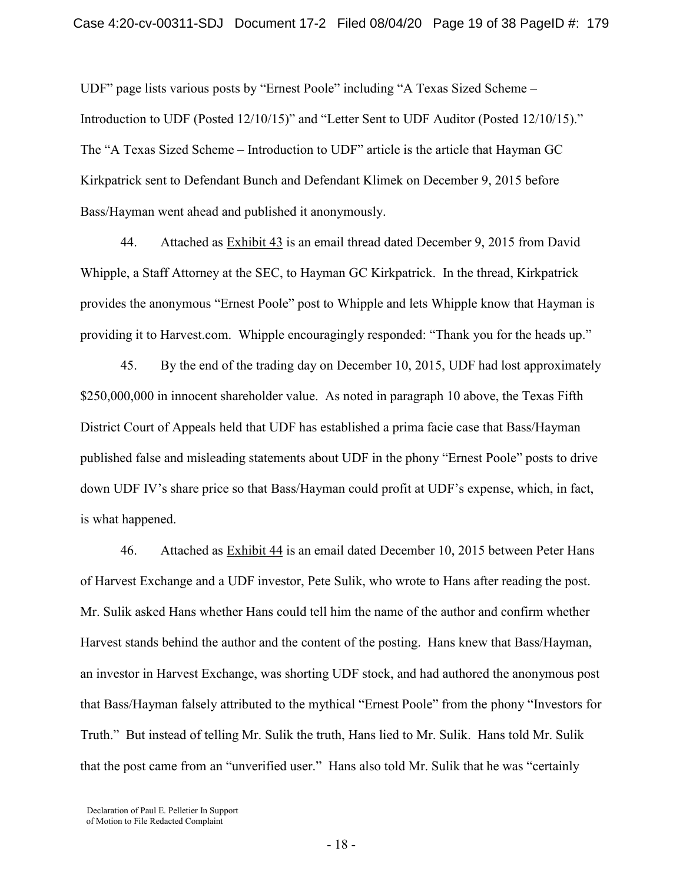UDF" page lists various posts by "Ernest Poole" including "A Texas Sized Scheme – Introduction to UDF (Posted 12/10/15)" and "Letter Sent to UDF Auditor (Posted 12/10/15)." The "A Texas Sized Scheme – Introduction to UDF" article is the article that Hayman GC Kirkpatrick sent to Defendant Bunch and Defendant Klimek on December 9, 2015 before Bass/Hayman went ahead and published it anonymously.

44. Attached as Exhibit 43 is an email thread dated December 9, 2015 from David Whipple, a Staff Attorney at the SEC, to Hayman GC Kirkpatrick. In the thread, Kirkpatrick provides the anonymous "Ernest Poole" post to Whipple and lets Whipple know that Hayman is providing it to Harvest.com. Whipple encouragingly responded: "Thank you for the heads up."

45. By the end of the trading day on December 10, 2015, UDF had lost approximately \$250,000,000 in innocent shareholder value.As noted in paragraph 10 above, the Texas Fifth District Court of Appeals held that UDF has established a prima facie case that Bass/Hayman published false and misleading statements about UDF in the phony "Ernest Poole" posts to drive down UDF IV's share price so that Bass/Hayman could profit at UDF's expense, which, in fact, is what happened.

46. Attached as Exhibit 44 is an email dated December 10, 2015 between Peter Hans of Harvest Exchange and a UDF investor, Pete Sulik, who wrote to Hans after reading the post. Mr. Sulik asked Hans whether Hans could tell him the name of the author and confirm whether Harvest stands behind the author and the content of the posting. Hans knew that Bass/Hayman, an investor in Harvest Exchange, was shorting UDF stock, and had authored the anonymous post that Bass/Hayman falsely attributed to the mythical "Ernest Poole" from the phony "Investors for Truth." But instead of telling Mr. Sulik the truth, Hans lied to Mr. Sulik. Hans told Mr. Sulik that the post came from an "unverified user." Hans also told Mr. Sulik that he was "certainly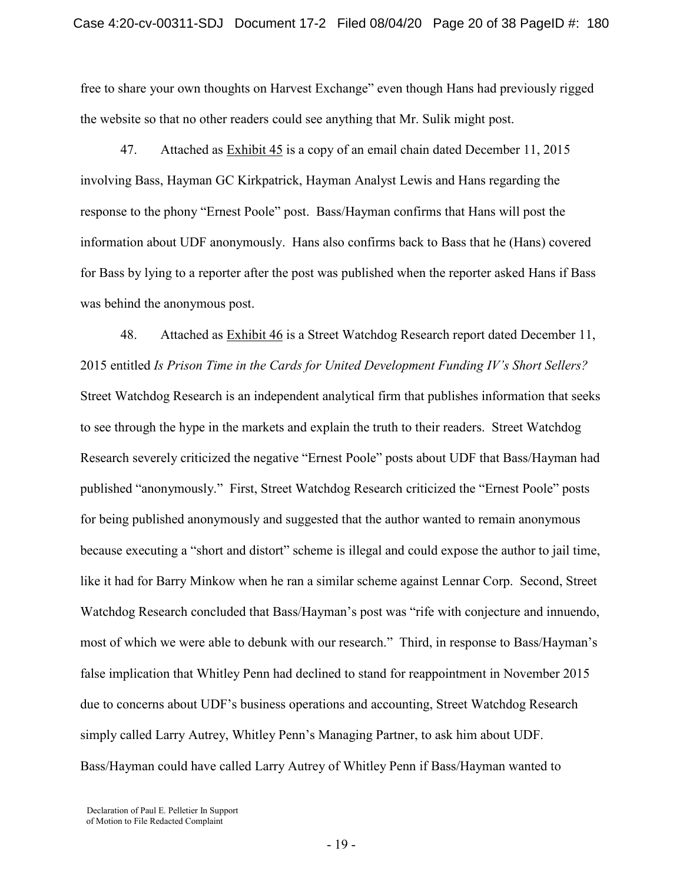free to share your own thoughts on Harvest Exchange" even though Hans had previously rigged the website so that no other readers could see anything that Mr. Sulik might post.

47. Attached as Exhibit 45 is a copy of an email chain dated December 11, 2015 involving Bass, Hayman GC Kirkpatrick, Hayman Analyst Lewis and Hans regarding the response to the phony "Ernest Poole" post. Bass/Hayman confirms that Hans will post the information about UDF anonymously. Hans also confirms back to Bass that he (Hans) covered for Bass by lying to a reporter after the post was published when the reporter asked Hans if Bass was behind the anonymous post.

48. Attached as **Exhibit 46** is a Street Watchdog Research report dated December 11, 2015 entitled *Is Prison Time in the Cards for United Development Funding IV's Short Sellers?* Street Watchdog Research is an independent analytical firm that publishes information that seeks to see through the hype in the markets and explain the truth to their readers. Street Watchdog Research severely criticized the negative "Ernest Poole" posts about UDF that Bass/Hayman had published "anonymously." First, Street Watchdog Research criticized the "Ernest Poole" posts for being published anonymously and suggested that the author wanted to remain anonymous because executing a "short and distort" scheme is illegal and could expose the author to jail time, like it had for Barry Minkow when he ran a similar scheme against Lennar Corp. Second, Street Watchdog Research concluded that Bass/Hayman's post was "rife with conjecture and innuendo, most of which we were able to debunk with our research." Third, in response to Bass/Hayman's false implication that Whitley Penn had declined to stand for reappointment in November 2015 due to concerns about UDF's business operations and accounting, Street Watchdog Research simply called Larry Autrey, Whitley Penn's Managing Partner, to ask him about UDF. Bass/Hayman could have called Larry Autrey of Whitley Penn if Bass/Hayman wanted to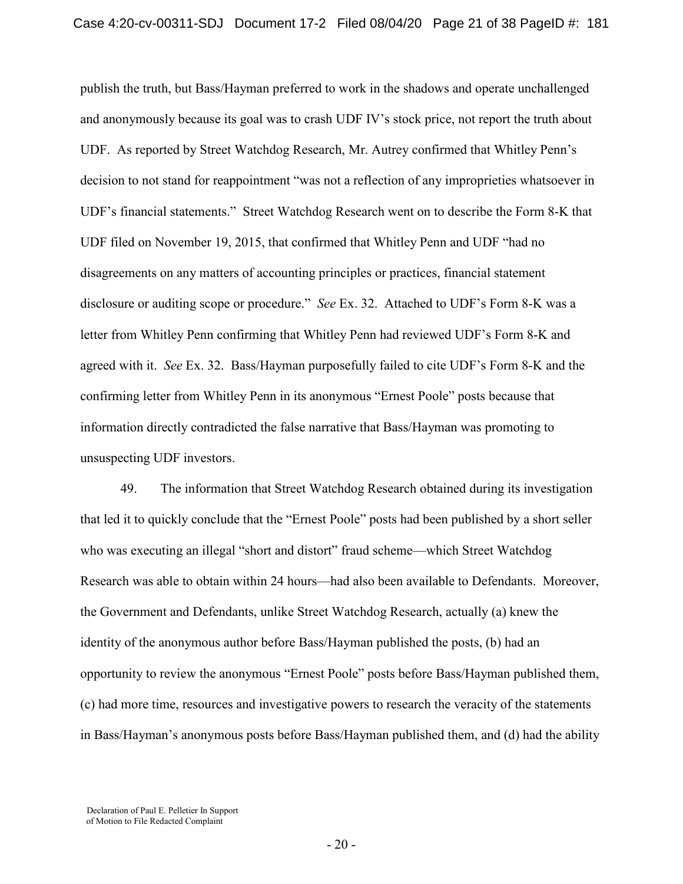publish the truth, but Bass/Hayman preferred to work in the shadows and operate unchallenged and anonymously because its goal was to crash UDF IV's stock price, not report the truth about UDF. As reported by Street Watchdog Research, Mr. Autrey confirmed that Whitley Penn's decision to not stand for reappointment "was not a reflection of any improprieties whatsoever in UDF's financial statements."Street Watchdog Research went on to describe the Form 8-K that UDF filed on November 19, 2015, that confirmed that Whitley Penn and UDF "had no disagreements on any matters of accounting principles or practices, financial statement disclosure or auditing scope or procedure." *See* Ex. 32. Attached to UDF's Form 8-K was a letter from Whitley Penn confirming that Whitley Penn had reviewed UDF's Form 8-K and agreed with it. *See* Ex. 32. Bass/Hayman purposefully failed to cite UDF's Form 8-K and the confirming letter from Whitley Penn in its anonymous "Ernest Poole" posts because that information directly contradicted the false narrative that Bass/Hayman was promoting to unsuspecting UDF investors.

49. The information that Street Watchdog Research obtained during its investigation that led it to quickly conclude that the "Ernest Poole" posts had been published by a short seller who was executing an illegal "short and distort" fraud scheme—which Street Watchdog Research was able to obtain within 24 hours—had also been available to Defendants. Moreover, the Government and Defendants, unlike Street Watchdog Research, actually (a) knew the identity of the anonymous author before Bass/Hayman published the posts, (b) had an opportunity to review the anonymous "Ernest Poole" posts before Bass/Hayman published them, (c) had more time, resources and investigative powers to research the veracity of the statements in Bass/Hayman's anonymous posts before Bass/Hayman published them, and (d) had the ability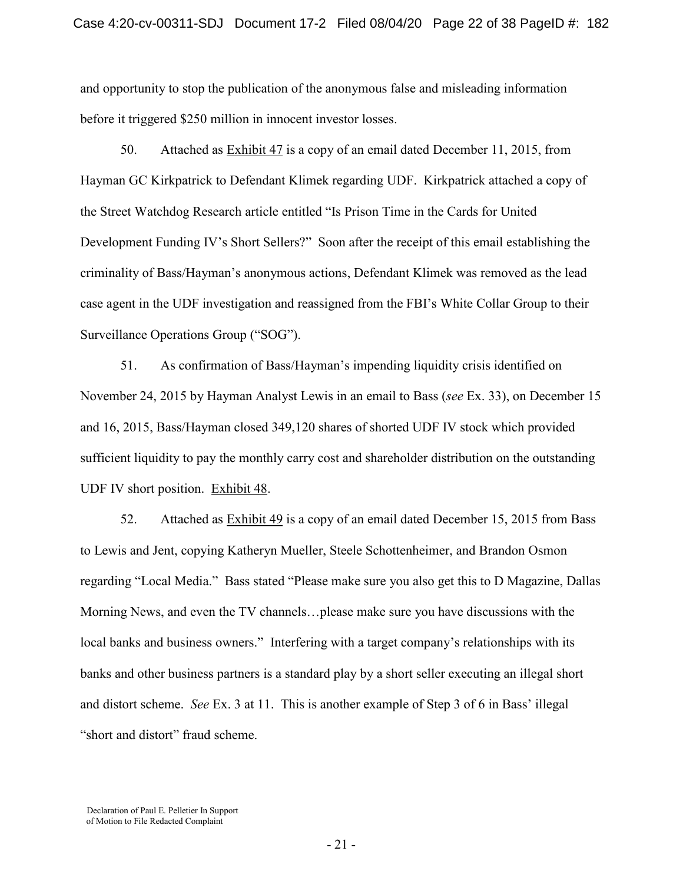and opportunity to stop the publication of the anonymous false and misleading information before it triggered \$250 million in innocent investor losses.

50. Attached as Exhibit 47 is a copy of an email dated December 11, 2015, from Hayman GC Kirkpatrick to Defendant Klimek regarding UDF. Kirkpatrick attached a copy of the Street Watchdog Research article entitled "Is Prison Time in the Cards for United Development Funding IV's Short Sellers?" Soon after the receipt of this email establishing the criminality of Bass/Hayman's anonymous actions, Defendant Klimek was removed as the lead case agent in the UDF investigation and reassigned from the FBI's White Collar Group to their Surveillance Operations Group ("SOG").

51. As confirmation of Bass/Hayman's impending liquidity crisis identified on November 24, 2015 by Hayman Analyst Lewis in an email to Bass (*see* Ex. 33), on December 15 and 16, 2015, Bass/Hayman closed 349,120 shares of shorted UDF IV stock which provided sufficient liquidity to pay the monthly carry cost and shareholder distribution on the outstanding UDF IV short position. Exhibit 48.

52. Attached as Exhibit 49 is a copy of an email dated December 15, 2015 from Bass to Lewis and Jent, copying Katheryn Mueller, Steele Schottenheimer, and Brandon Osmon regarding "Local Media." Bass stated "Please make sure you also get this to D Magazine, Dallas Morning News, and even the TV channels…please make sure you have discussions with the local banks and business owners." Interfering with a target company's relationships with its banks and other business partners is a standard play by a short seller executing an illegal short and distort scheme. *See* Ex. 3 at 11. This is another example of Step 3 of 6 in Bass' illegal "short and distort" fraud scheme.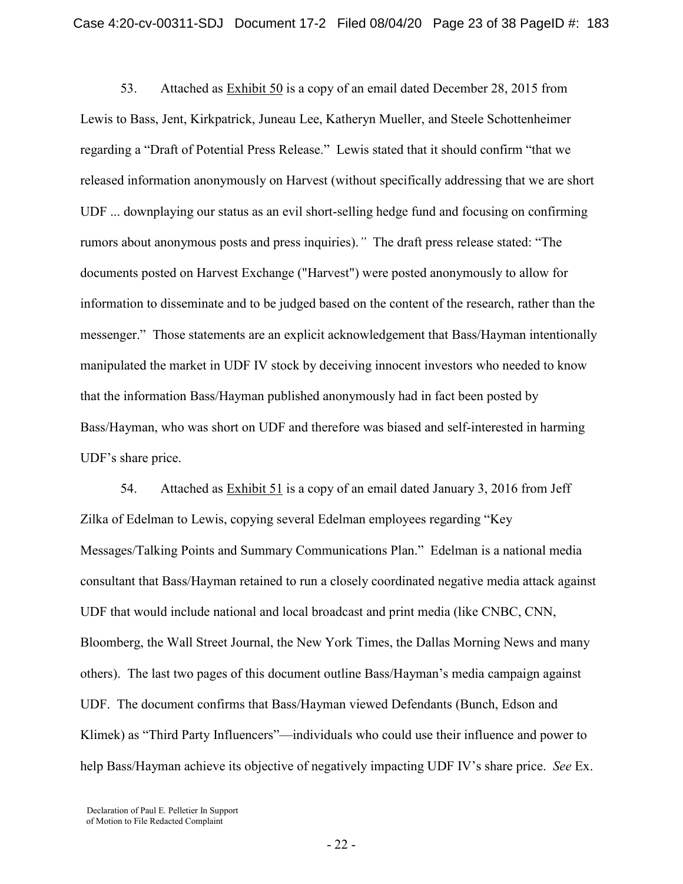53. Attached as Exhibit 50 is a copy of an email dated December 28, 2015 from Lewis to Bass, Jent, Kirkpatrick, Juneau Lee, Katheryn Mueller, and Steele Schottenheimer regarding a "Draft of Potential Press Release." Lewis stated that it should confirm "that we released information anonymously on Harvest (without specifically addressing that we are short UDF ... downplaying our status as an evil short-selling hedge fund and focusing on confirming rumors about anonymous posts and press inquiries).*"* The draft press release stated: "The documents posted on Harvest Exchange ("Harvest") were posted anonymously to allow for information to disseminate and to be judged based on the content of the research, rather than the messenger."Those statements are an explicit acknowledgement that Bass/Hayman intentionally manipulated the market in UDF IV stock by deceiving innocent investors who needed to know that the information Bass/Hayman published anonymously had in fact been posted by Bass/Hayman, who was short on UDF and therefore was biased and self-interested in harming UDF's share price.

54. Attached as Exhibit 51 is a copy of an email dated January 3, 2016 from Jeff Zilka of Edelman to Lewis, copying several Edelman employees regarding "Key Messages/Talking Points and Summary Communications Plan." Edelman is a national media consultant that Bass/Hayman retained to run a closely coordinated negative media attack against UDF that would include national and local broadcast and print media (like CNBC, CNN, Bloomberg, the Wall Street Journal, the New York Times, the Dallas Morning News and many others). The last two pages of this document outline Bass/Hayman's media campaign against UDF. The document confirms that Bass/Hayman viewed Defendants (Bunch, Edson and Klimek) as "Third Party Influencers"—individuals who could use their influence and power to help Bass/Hayman achieve its objective of negatively impacting UDF IV's share price. *See* Ex.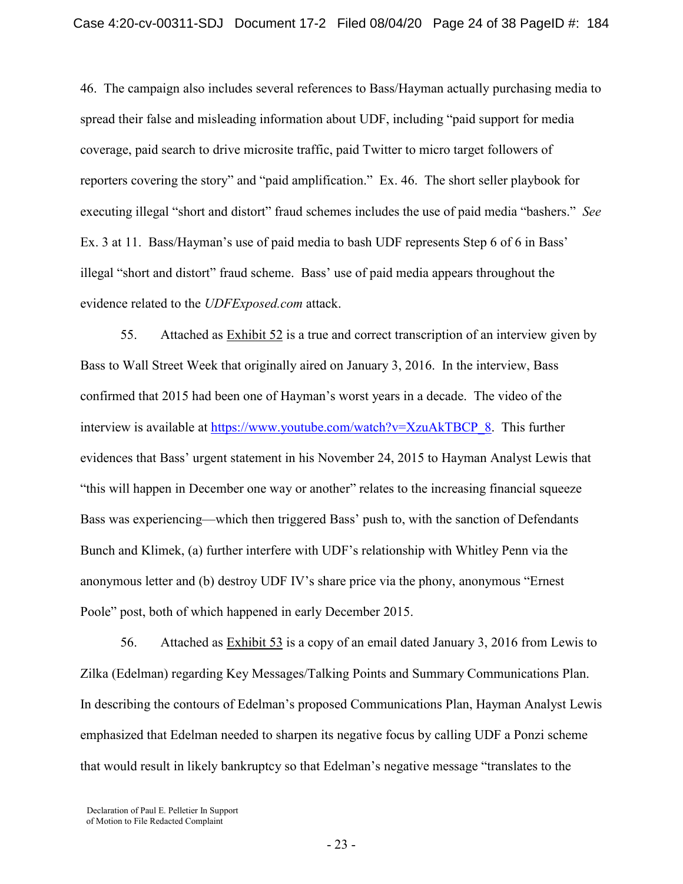46. The campaign also includes several references to Bass/Hayman actually purchasing media to spread their false and misleading information about UDF, including "paid support for media coverage, paid search to drive microsite traffic, paid Twitter to micro target followers of reporters covering the story" and "paid amplification." Ex. 46. The short seller playbook for executing illegal "short and distort" fraud schemes includes the use of paid media "bashers." *See* Ex. 3 at 11. Bass/Hayman's use of paid media to bash UDF represents Step 6 of 6 in Bass' illegal "short and distort" fraud scheme. Bass' use of paid media appears throughout the evidence related to the *UDFExposed.com* attack.

55. Attached as  $Exhibit 52$  is a true and correct transcription of an interview given by Bass to Wall Street Week that originally aired on January 3, 2016. In the interview, Bass confirmed that 2015 had been one of Hayman's worst years in a decade. The video of the interview is available at [https://www.youtube.com/watch?v=XzuAkTBCP\\_8.](https://www.youtube.com/watch?v=XzuAkTBCP_8) This further evidences that Bass' urgent statement in his November 24, 2015 to Hayman Analyst Lewis that "this will happen in December one way or another" relates to the increasing financial squeeze Bass was experiencing—which then triggered Bass' push to, with the sanction of Defendants Bunch and Klimek, (a) further interfere with UDF's relationship with Whitley Penn via the anonymous letter and (b) destroy UDF IV's share price via the phony, anonymous "Ernest Poole" post, both of which happened in early December 2015.

56. Attached as Exhibit 53 is a copy of an email dated January 3, 2016 from Lewis to Zilka (Edelman) regarding Key Messages/Talking Points and Summary Communications Plan. In describing the contours of Edelman's proposed Communications Plan, Hayman Analyst Lewis emphasized that Edelman needed to sharpen its negative focus by calling UDF a Ponzi scheme that would result in likely bankruptcy so that Edelman's negative message "translates to the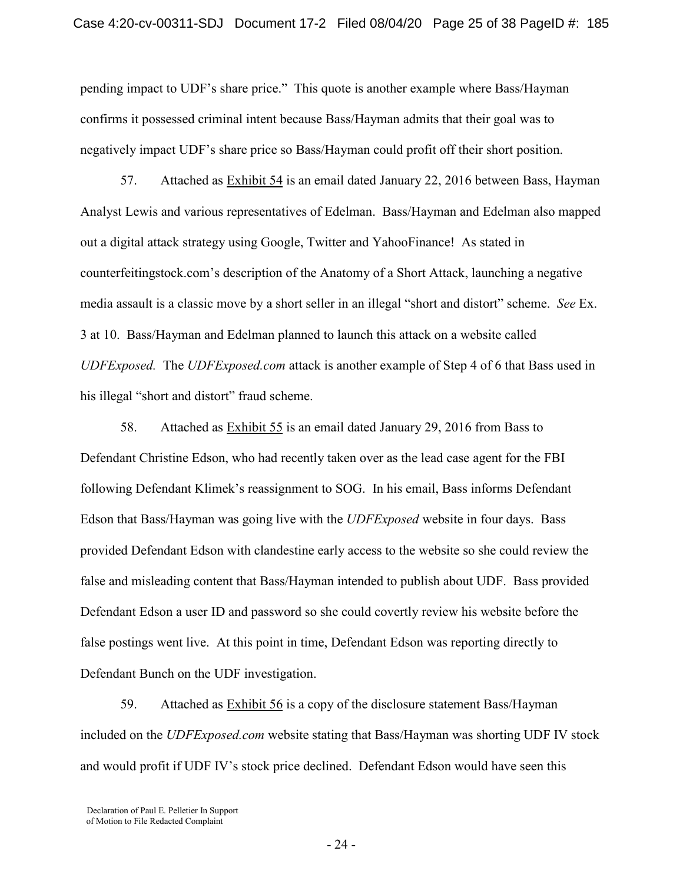pending impact to UDF's share price."This quote is another example where Bass/Hayman confirms it possessed criminal intent because Bass/Hayman admits that their goal was to negatively impact UDF's share price so Bass/Hayman could profit off their short position.

57. Attached as Exhibit 54 is an email dated January 22, 2016 between Bass, Hayman Analyst Lewis and various representatives of Edelman. Bass/Hayman and Edelman also mapped out a digital attack strategy using Google, Twitter and YahooFinance! As stated in counterfeitingstock.com's description of the Anatomy of a Short Attack, launching a negative media assault is a classic move by a short seller in an illegal "short and distort" scheme. *See* Ex. 3 at 10. Bass/Hayman and Edelman planned to launch this attack on a website called *UDFExposed.* The *UDFExposed.com* attack is another example of Step 4 of 6 that Bass used in his illegal "short and distort" fraud scheme.

58. Attached as Exhibit 55 is an email dated January 29, 2016 from Bass to Defendant Christine Edson, who had recently taken over as the lead case agent for the FBI following Defendant Klimek's reassignment to SOG. In his email, Bass informs Defendant Edson that Bass/Hayman was going live with the *UDFExposed* website in four days. Bass provided Defendant Edson with clandestine early access to the website so she could review the false and misleading content that Bass/Hayman intended to publish about UDF. Bass provided Defendant Edson a user ID and password so she could covertly review his website before the false postings went live. At this point in time, Defendant Edson was reporting directly to Defendant Bunch on the UDF investigation.

59. Attached as Exhibit 56 is a copy of the disclosure statement Bass/Hayman included on the *UDFExposed.com* website stating that Bass/Hayman was shorting UDF IV stock and would profit if UDF IV's stock price declined. Defendant Edson would have seen this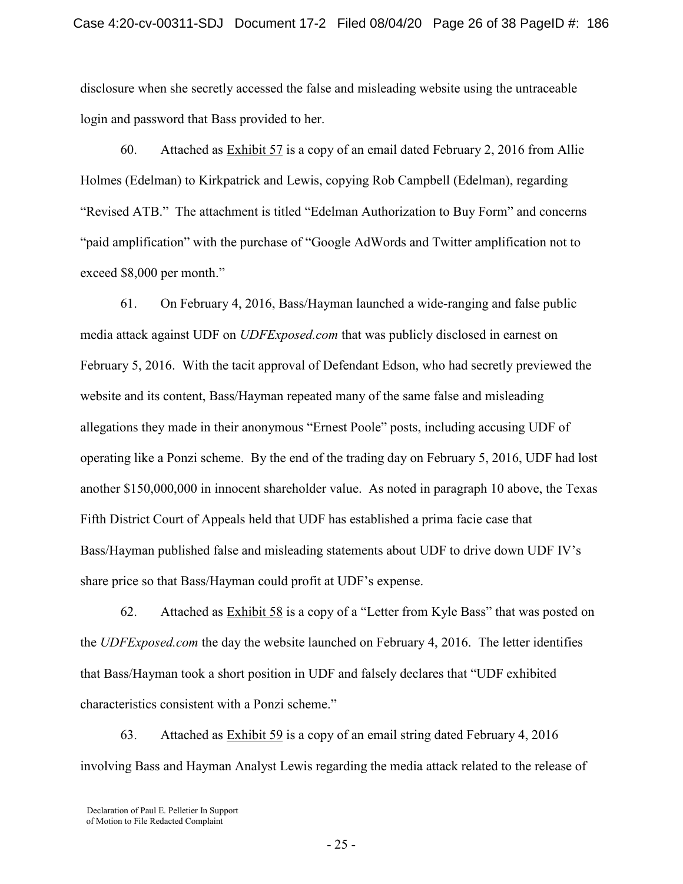disclosure when she secretly accessed the false and misleading website using the untraceable login and password that Bass provided to her.

60. Attached as Exhibit 57 is a copy of an email dated February 2, 2016 from Allie Holmes (Edelman) to Kirkpatrick and Lewis, copying Rob Campbell (Edelman), regarding "Revised ATB." The attachment is titled "Edelman Authorization to Buy Form" and concerns "paid amplification" with the purchase of "Google AdWords and Twitter amplification not to exceed \$8,000 per month."

61. On February 4, 2016, Bass/Hayman launched a wide-ranging and false public media attack against UDF on *UDFExposed.com* that was publicly disclosed in earnest on February 5, 2016. With the tacit approval of Defendant Edson, who had secretly previewed the website and its content, Bass/Hayman repeated many of the same false and misleading allegations they made in their anonymous "Ernest Poole" posts, including accusing UDF of operating like a Ponzi scheme. By the end of the trading day on February 5, 2016, UDF had lost another \$150,000,000 in innocent shareholder value.As noted in paragraph 10 above, the Texas Fifth District Court of Appeals held that UDF has established a prima facie case that Bass/Hayman published false and misleading statements about UDF to drive down UDF IV's share price so that Bass/Hayman could profit at UDF's expense.

62. Attached as Exhibit 58 is a copy of a "Letter from Kyle Bass" that was posted on the *UDFExposed.com* the day the website launched on February 4, 2016. The letter identifies that Bass/Hayman took a short position in UDF and falsely declares that "UDF exhibited characteristics consistent with a Ponzi scheme."

63. Attached as Exhibit 59 is a copy of an email string dated February 4, 2016 involving Bass and Hayman Analyst Lewis regarding the media attack related to the release of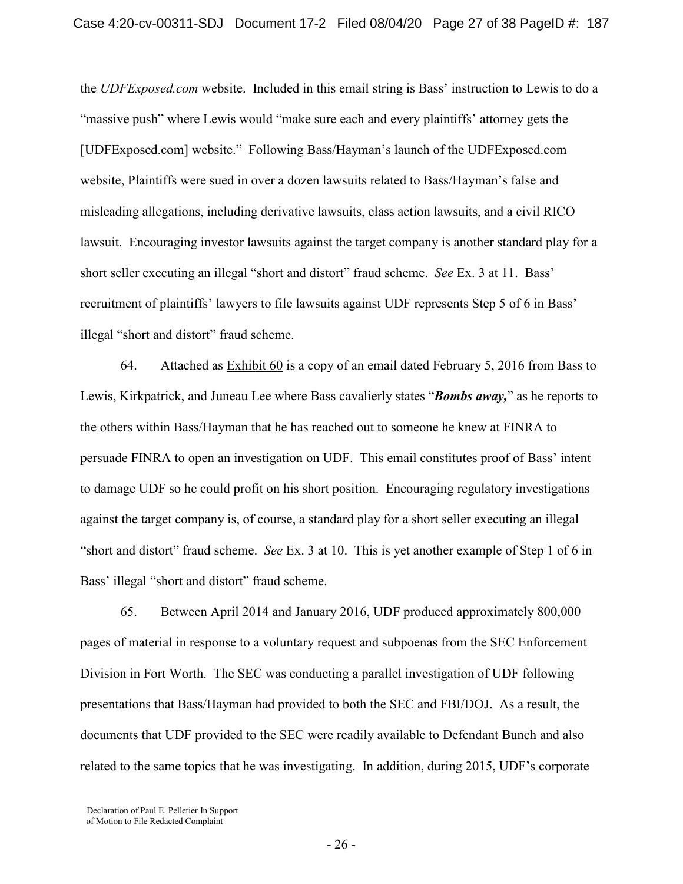the *UDFExposed.com* website. Included in this email string is Bass' instruction to Lewis to do a "massive push" where Lewis would "make sure each and every plaintiffs' attorney gets the [UDFExposed.com] website." Following Bass/Hayman's launch of the UDFExposed.com website, Plaintiffs were sued in over a dozen lawsuits related to Bass/Hayman's false and misleading allegations, including derivative lawsuits, class action lawsuits, and a civil RICO lawsuit. Encouraging investor lawsuits against the target company is another standard play for a short seller executing an illegal "short and distort" fraud scheme. *See* Ex. 3 at 11. Bass' recruitment of plaintiffs' lawyers to file lawsuits against UDF represents Step 5 of 6 in Bass' illegal "short and distort" fraud scheme.

64. Attached as Exhibit 60 is a copy of an email dated February 5, 2016 from Bass to Lewis, Kirkpatrick, and Juneau Lee where Bass cavalierly states "*Bombs away,*" as he reports to the others within Bass/Hayman that he has reached out to someone he knew at FINRA to persuade FINRA to open an investigation on UDF. This email constitutes proof of Bass' intent to damage UDF so he could profit on his short position. Encouraging regulatory investigations against the target company is, of course, a standard play for a short seller executing an illegal "short and distort" fraud scheme. *See* Ex. 3 at 10. This is yet another example of Step 1 of 6 in Bass' illegal "short and distort" fraud scheme.

65. Between April 2014 and January 2016, UDF produced approximately 800,000 pages of material in response to a voluntary request and subpoenas from the SEC Enforcement Division in Fort Worth. The SEC was conducting a parallel investigation of UDF following presentations that Bass/Hayman had provided to both the SEC and FBI/DOJ. As a result, the documents that UDF provided to the SEC were readily available to Defendant Bunch and also related to the same topics that he was investigating. In addition, during 2015, UDF's corporate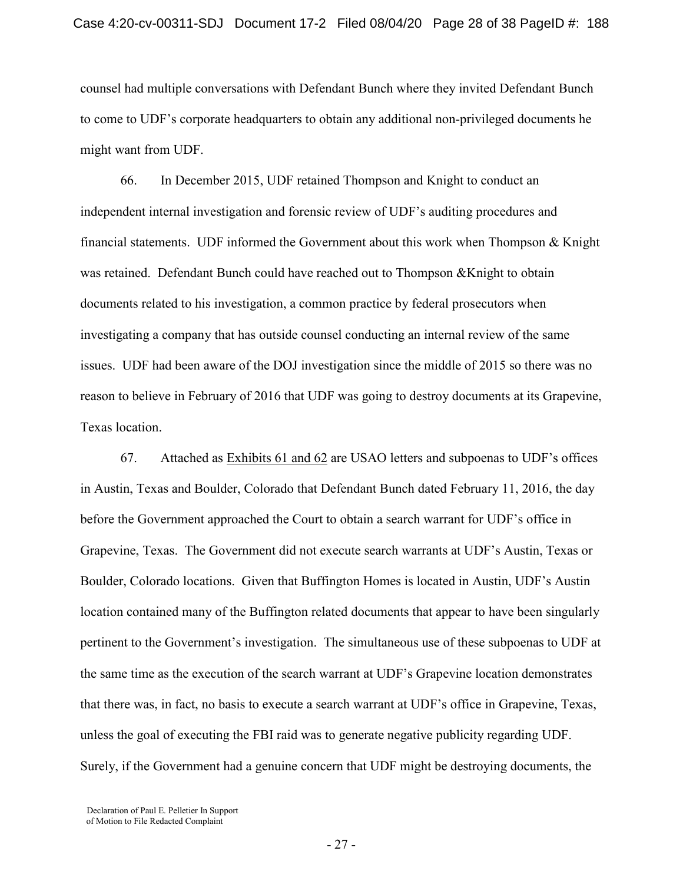counsel had multiple conversations with Defendant Bunch where they invited Defendant Bunch to come to UDF's corporate headquarters to obtain any additional non-privileged documents he might want from UDF.

66. In December 2015, UDF retained Thompson and Knight to conduct an independent internal investigation and forensic review of UDF's auditing procedures and financial statements. UDF informed the Government about this work when Thompson  $\&$  Knight was retained. Defendant Bunch could have reached out to Thompson &Knight to obtain documents related to his investigation, a common practice by federal prosecutors when investigating a company that has outside counsel conducting an internal review of the same issues. UDF had been aware of the DOJ investigation since the middle of 2015 so there was no reason to believe in February of 2016 that UDF was going to destroy documents at its Grapevine, Texas location.

67. Attached as Exhibits 61 and 62 are USAO letters and subpoenas to UDF's offices in Austin, Texas and Boulder, Colorado that Defendant Bunch dated February 11, 2016, the day before the Government approached the Court to obtain a search warrant for UDF's office in Grapevine, Texas. The Government did not execute search warrants at UDF's Austin, Texas or Boulder, Colorado locations. Given that Buffington Homes is located in Austin, UDF's Austin location contained many of the Buffington related documents that appear to have been singularly pertinent to the Government's investigation. The simultaneous use of these subpoenas to UDF at the same time as the execution of the search warrant at UDF's Grapevine location demonstrates that there was, in fact, no basis to execute a search warrant at UDF's office in Grapevine, Texas, unless the goal of executing the FBI raid was to generate negative publicity regarding UDF. Surely, if the Government had a genuine concern that UDF might be destroying documents, the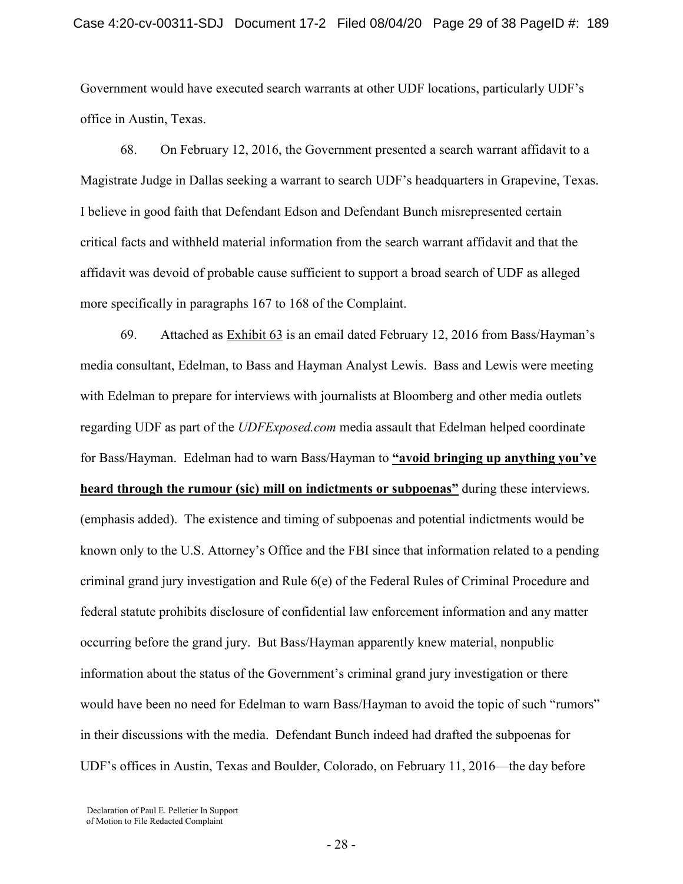Government would have executed search warrants at other UDF locations, particularly UDF's office in Austin, Texas.

68. On February 12, 2016, the Government presented a search warrant affidavit to a Magistrate Judge in Dallas seeking a warrant to search UDF's headquarters in Grapevine, Texas. I believe in good faith that Defendant Edson and Defendant Bunch misrepresented certain critical facts and withheld material information from the search warrant affidavit and that the affidavit was devoid of probable cause sufficient to support a broad search of UDF as alleged more specifically in paragraphs 167 to 168 of the Complaint.

69. Attached as Exhibit 63 is an email dated February 12, 2016 from Bass/Hayman's media consultant, Edelman, to Bass and Hayman Analyst Lewis. Bass and Lewis were meeting with Edelman to prepare for interviews with journalists at Bloomberg and other media outlets regarding UDF as part of the *UDFExposed.com* media assault that Edelman helped coordinate for Bass/Hayman. Edelman had to warn Bass/Hayman to **"avoid bringing up anything you've heard through the rumour (sic) mill on indictments or subpoenas"** during these interviews. (emphasis added). The existence and timing of subpoenas and potential indictments would be known only to the U.S. Attorney's Office and the FBI since that information related to a pending criminal grand jury investigation and Rule 6(e) of the Federal Rules of Criminal Procedure and federal statute prohibits disclosure of confidential law enforcement information and any matter occurring before the grand jury. But Bass/Hayman apparently knew material, nonpublic information about the status of the Government's criminal grand jury investigation or there would have been no need for Edelman to warn Bass/Hayman to avoid the topic of such "rumors" in their discussions with the media. Defendant Bunch indeed had drafted the subpoenas for UDF's offices in Austin, Texas and Boulder, Colorado, on February 11, 2016—the day before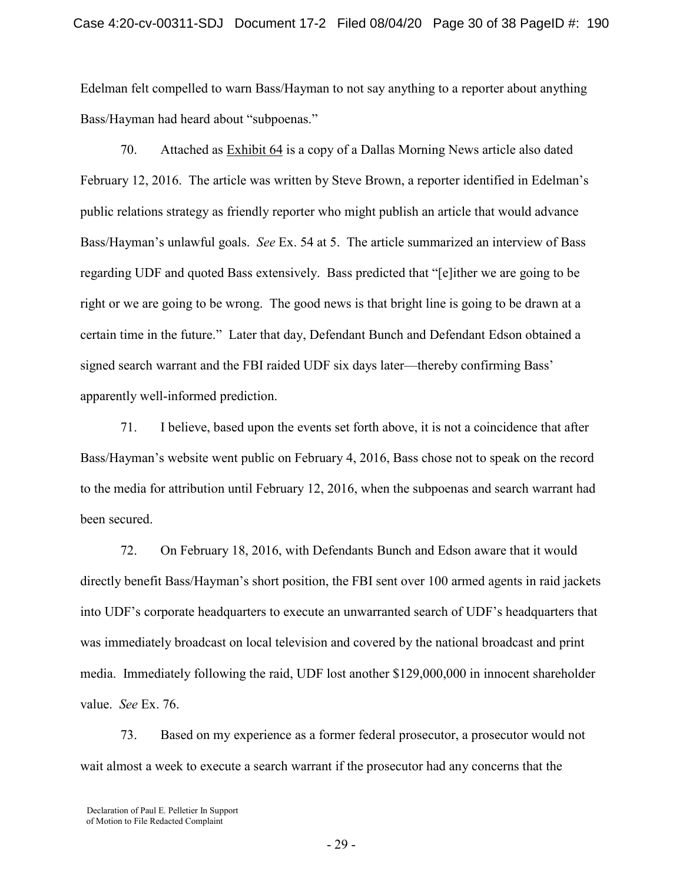Edelman felt compelled to warn Bass/Hayman to not say anything to a reporter about anything Bass/Hayman had heard about "subpoenas."

70. Attached as Exhibit 64 is a copy of a Dallas Morning News article also dated February 12, 2016. The article was written by Steve Brown, a reporter identified in Edelman's public relations strategy as friendly reporter who might publish an article that would advance Bass/Hayman's unlawful goals. *See* Ex. 54 at 5. The article summarized an interview of Bass regarding UDF and quoted Bass extensively. Bass predicted that "[e]ither we are going to be right or we are going to be wrong. The good news is that bright line is going to be drawn at a certain time in the future." Later that day, Defendant Bunch and Defendant Edson obtained a signed search warrant and the FBI raided UDF six days later—thereby confirming Bass' apparently well-informed prediction.

71. I believe, based upon the events set forth above, it is not a coincidence that after Bass/Hayman's website went public on February 4, 2016, Bass chose not to speak on the record to the media for attribution until February 12, 2016, when the subpoenas and search warrant had been secured.

72. On February 18, 2016, with Defendants Bunch and Edson aware that it would directly benefit Bass/Hayman's short position, the FBI sent over 100 armed agents in raid jackets into UDF's corporate headquarters to execute an unwarranted search of UDF's headquarters that was immediately broadcast on local television and covered by the national broadcast and print media. Immediately following the raid, UDF lost another \$129,000,000 in innocent shareholder value. *See* Ex. 76.

73. Based on my experience as a former federal prosecutor, a prosecutor would not wait almost a week to execute a search warrant if the prosecutor had any concerns that the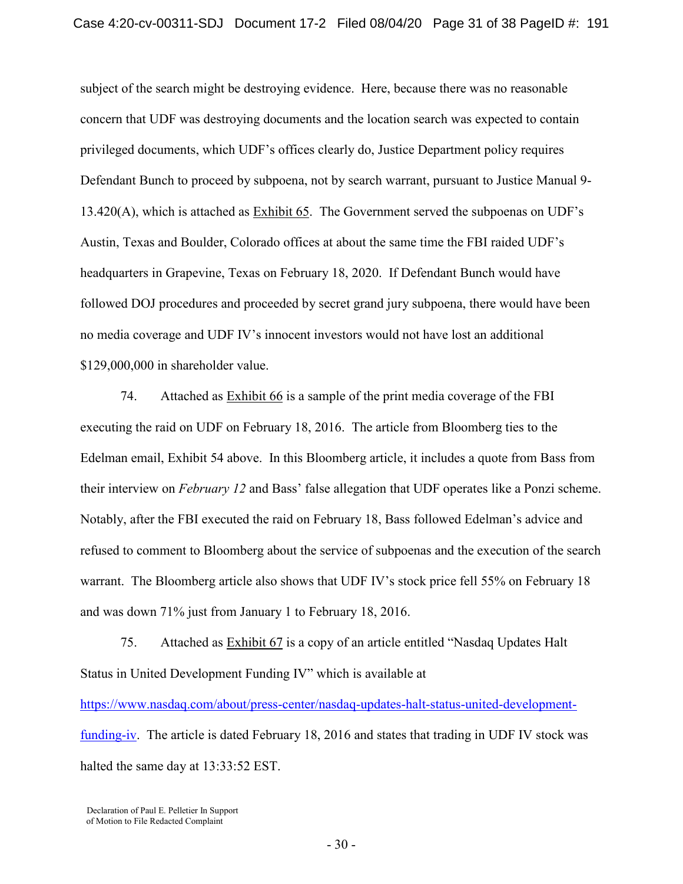subject of the search might be destroying evidence. Here, because there was no reasonable concern that UDF was destroying documents and the location search was expected to contain privileged documents, which UDF's offices clearly do, Justice Department policy requires Defendant Bunch to proceed by subpoena, not by search warrant, pursuant to Justice Manual 9- 13.420(A), which is attached as Exhibit 65. The Government served the subpoenas on UDF's Austin, Texas and Boulder, Colorado offices at about the same time the FBI raided UDF's headquarters in Grapevine, Texas on February 18, 2020. If Defendant Bunch would have followed DOJ procedures and proceeded by secret grand jury subpoena, there would have been no media coverage and UDF IV's innocent investors would not have lost an additional \$129,000,000 in shareholder value.

74. Attached as Exhibit 66 is a sample of the print media coverage of the FBI executing the raid on UDF on February 18, 2016. The article from Bloomberg ties to the Edelman email, Exhibit 54 above. In this Bloomberg article, it includes a quote from Bass from their interview on *February 12* and Bass' false allegation that UDF operates like a Ponzi scheme. Notably, after the FBI executed the raid on February 18, Bass followed Edelman's advice and refused to comment to Bloomberg about the service of subpoenas and the execution of the search warrant. The Bloomberg article also shows that UDF IV's stock price fell 55% on February 18 and was down 71% just from January 1 to February 18, 2016.

75. Attached as **Exhibit 67** is a copy of an article entitled "Nasdaq Updates Halt" Status in United Development Funding IV" which is available at

[https://www.nasdaq.com/about/press-center/nasdaq-updates-halt-status-united-development](https://www.nasdaq.com/about/press-center/nasdaq-updates-halt-status-united-development-funding-iv)[funding-iv.](https://www.nasdaq.com/about/press-center/nasdaq-updates-halt-status-united-development-funding-iv) The article is dated February 18, 2016 and states that trading in UDF IV stock was halted the same day at 13:33:52 EST.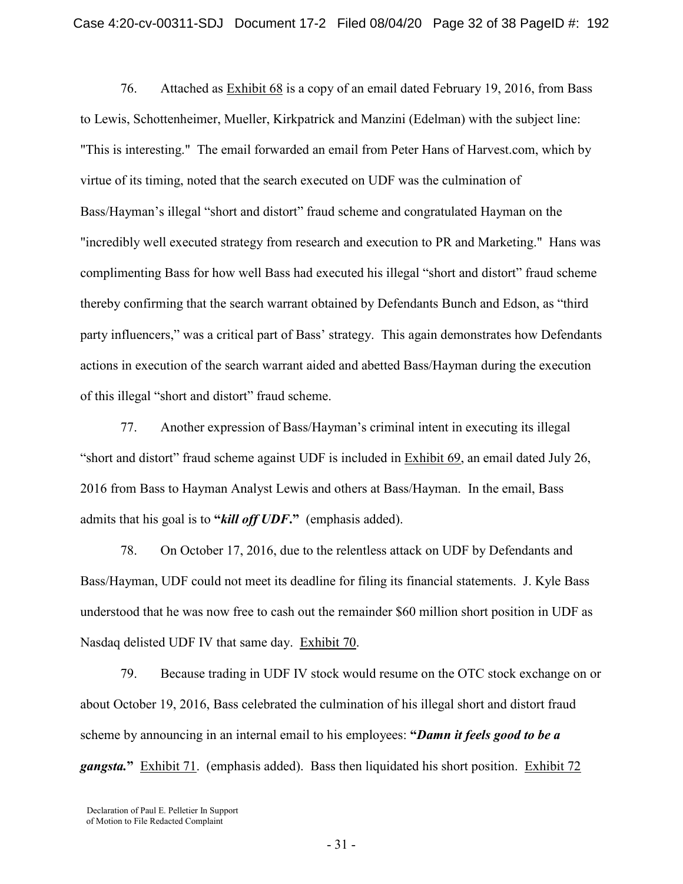76. Attached as **Exhibit 68** is a copy of an email dated February 19, 2016, from Bass to Lewis, Schottenheimer, Mueller, Kirkpatrick and Manzini (Edelman) with the subject line: "This is interesting." The email forwarded an email from Peter Hans of Harvest.com, which by virtue of its timing, noted that the search executed on UDF was the culmination of Bass/Hayman's illegal "short and distort" fraud scheme and congratulated Hayman on the "incredibly well executed strategy from research and execution to PR and Marketing." Hans was complimenting Bass for how well Bass had executed his illegal "short and distort" fraud scheme thereby confirming that the search warrant obtained by Defendants Bunch and Edson, as "third party influencers," was a critical part of Bass' strategy. This again demonstrates how Defendants actions in execution of the search warrant aided and abetted Bass/Hayman during the execution of this illegal "short and distort" fraud scheme.

77. Another expression of Bass/Hayman's criminal intent in executing its illegal "short and distort" fraud scheme against UDF is included in Exhibit 69, an email dated July 26, 2016 from Bass to Hayman Analyst Lewis and others at Bass/Hayman. In the email, Bass admits that his goal is to **"***kill off UDF***."** (emphasis added).

78. On October 17, 2016, due to the relentless attack on UDF by Defendants and Bass/Hayman, UDF could not meet its deadline for filing its financial statements. J. Kyle Bass understood that he was now free to cash out the remainder \$60 million short position in UDF as Nasdaq delisted UDF IV that same day. Exhibit 70.

79. Because trading in UDF IV stock would resume on the OTC stock exchange on or about October 19, 2016, Bass celebrated the culmination of his illegal short and distort fraud scheme by announcing in an internal email to his employees: **"***Damn it feels good to be a gangsta.***"** Exhibit 71. (emphasis added). Bass then liquidated his short position. Exhibit 72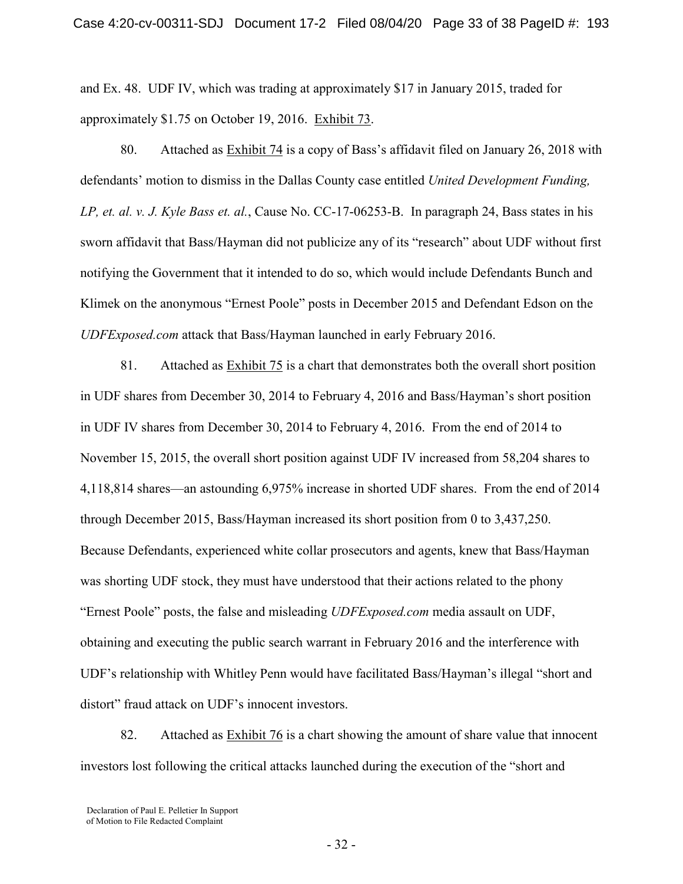and Ex. 48. UDF IV, which was trading at approximately \$17 in January 2015, traded for approximately \$1.75 on October 19, 2016. Exhibit 73.

80. Attached as Exhibit 74 is a copy of Bass's affidavit filed on January 26, 2018 with defendants' motion to dismiss in the Dallas County case entitled *United Development Funding, LP, et. al. v. J. Kyle Bass et. al.*, Cause No. CC-17-06253-B. In paragraph 24, Bass states in his sworn affidavit that Bass/Hayman did not publicize any of its "research" about UDF without first notifying the Government that it intended to do so, which would include Defendants Bunch and Klimek on the anonymous "Ernest Poole" posts in December 2015 and Defendant Edson on the *UDFExposed.com* attack that Bass/Hayman launched in early February 2016.

81. Attached as Exhibit 75 is a chart that demonstrates both the overall short position in UDF shares from December 30, 2014 to February 4, 2016 and Bass/Hayman's short position in UDF IV shares from December 30, 2014 to February 4, 2016. From the end of 2014 to November 15, 2015, the overall short position against UDF IV increased from 58,204 shares to 4,118,814 shares—an astounding 6,975% increase in shorted UDF shares. From the end of 2014 through December 2015, Bass/Hayman increased its short position from 0 to 3,437,250. Because Defendants, experienced white collar prosecutors and agents, knew that Bass/Hayman was shorting UDF stock, they must have understood that their actions related to the phony "Ernest Poole" posts, the false and misleading *UDFExposed.com* media assault on UDF, obtaining and executing the public search warrant in February 2016 and the interference with UDF's relationship with Whitley Penn would have facilitated Bass/Hayman's illegal "short and distort" fraud attack on UDF's innocent investors.

82. Attached as Exhibit 76 is a chart showing the amount of share value that innocent investors lost following the critical attacks launched during the execution of the "short and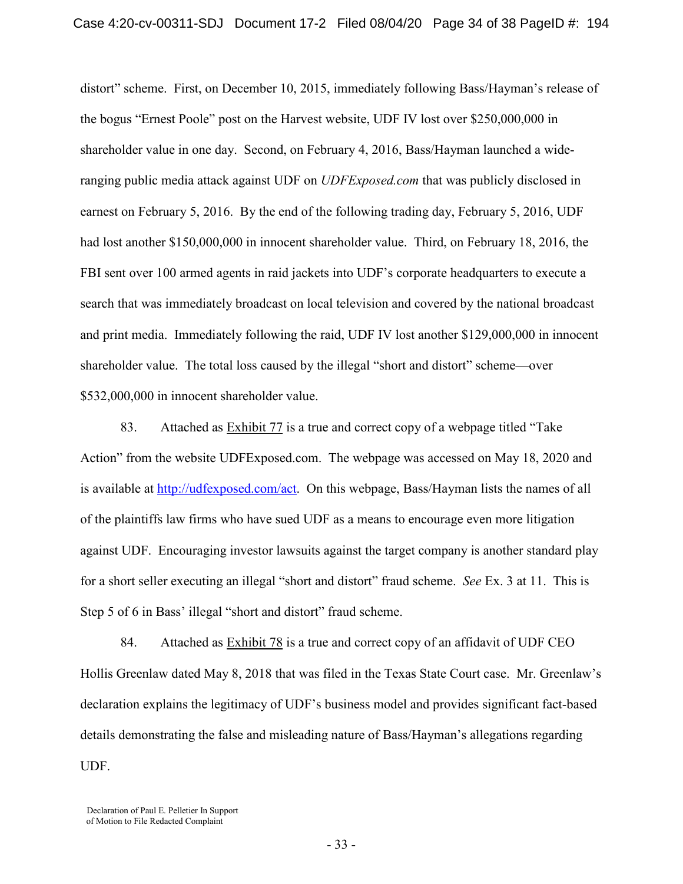distort" scheme. First, on December 10, 2015, immediately following Bass/Hayman's release of the bogus "Ernest Poole" post on the Harvest website, UDF IV lost over \$250,000,000 in shareholder value in one day. Second, on February 4, 2016, Bass/Hayman launched a wideranging public media attack against UDF on *UDFExposed.com* that was publicly disclosed in earnest on February 5, 2016. By the end of the following trading day, February 5, 2016, UDF had lost another \$150,000,000 in innocent shareholder value.Third, on February 18, 2016, the FBI sent over 100 armed agents in raid jackets into UDF's corporate headquarters to execute a search that was immediately broadcast on local television and covered by the national broadcast and print media. Immediately following the raid, UDF IV lost another \$129,000,000 in innocent shareholder value. The total loss caused by the illegal "short and distort" scheme—over \$532,000,000 in innocent shareholder value.

83. Attached as Exhibit 77 is a true and correct copy of a webpage titled "Take Action" from the website UDFExposed.com. The webpage was accessed on May 18, 2020 and is available at [http://udfexposed.com/act.](http://udfexposed.com/act) On this webpage, Bass/Hayman lists the names of all of the plaintiffs law firms who have sued UDF as a means to encourage even more litigation against UDF. Encouraging investor lawsuits against the target company is another standard play for a short seller executing an illegal "short and distort" fraud scheme. *See* Ex. 3 at 11. This is Step 5 of 6 in Bass' illegal "short and distort" fraud scheme.

84. Attached as  $Exhibit 78$  is a true and correct copy of an affidavit of UDF CEO Hollis Greenlaw dated May 8, 2018 that was filed in the Texas State Court case. Mr. Greenlaw's declaration explains the legitimacy of UDF's business model and provides significant fact-based details demonstrating the false and misleading nature of Bass/Hayman's allegations regarding UDF.

Declaration of Paul E. Pelletier In Support of Motion to File Redacted Complaint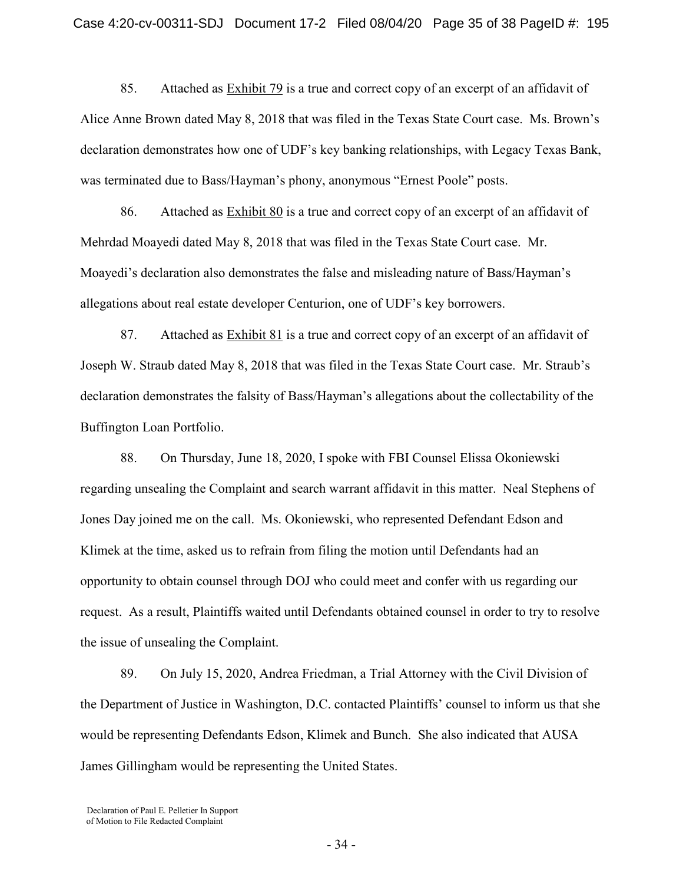85. Attached as Exhibit 79 is a true and correct copy of an excerpt of an affidavit of Alice Anne Brown dated May 8, 2018 that was filed in the Texas State Court case. Ms. Brown's declaration demonstrates how one of UDF's key banking relationships, with Legacy Texas Bank, was terminated due to Bass/Hayman's phony, anonymous "Ernest Poole" posts.

86. Attached as Exhibit 80 is a true and correct copy of an excerpt of an affidavit of Mehrdad Moayedi dated May 8, 2018 that was filed in the Texas State Court case. Mr. Moayedi's declaration also demonstrates the false and misleading nature of Bass/Hayman's allegations about real estate developer Centurion, one of UDF's key borrowers.

87. Attached as  $Exhibit 81$  is a true and correct copy of an excerpt of an affidavit of Joseph W. Straub dated May 8, 2018 that was filed in the Texas State Court case. Mr. Straub's declaration demonstrates the falsity of Bass/Hayman's allegations about the collectability of the Buffington Loan Portfolio.

88. On Thursday, June 18, 2020, I spoke with FBI Counsel Elissa Okoniewski regarding unsealing the Complaint and search warrant affidavit in this matter. Neal Stephens of Jones Day joined me on the call. Ms. Okoniewski, who represented Defendant Edson and Klimek at the time, asked us to refrain from filing the motion until Defendants had an opportunity to obtain counsel through DOJ who could meet and confer with us regarding our request. As a result, Plaintiffs waited until Defendants obtained counsel in order to try to resolve the issue of unsealing the Complaint.

89. On July 15, 2020, Andrea Friedman, a Trial Attorney with the Civil Division of the Department of Justice in Washington, D.C. contacted Plaintiffs' counsel to inform us that she would be representing Defendants Edson, Klimek and Bunch. She also indicated that AUSA James Gillingham would be representing the United States.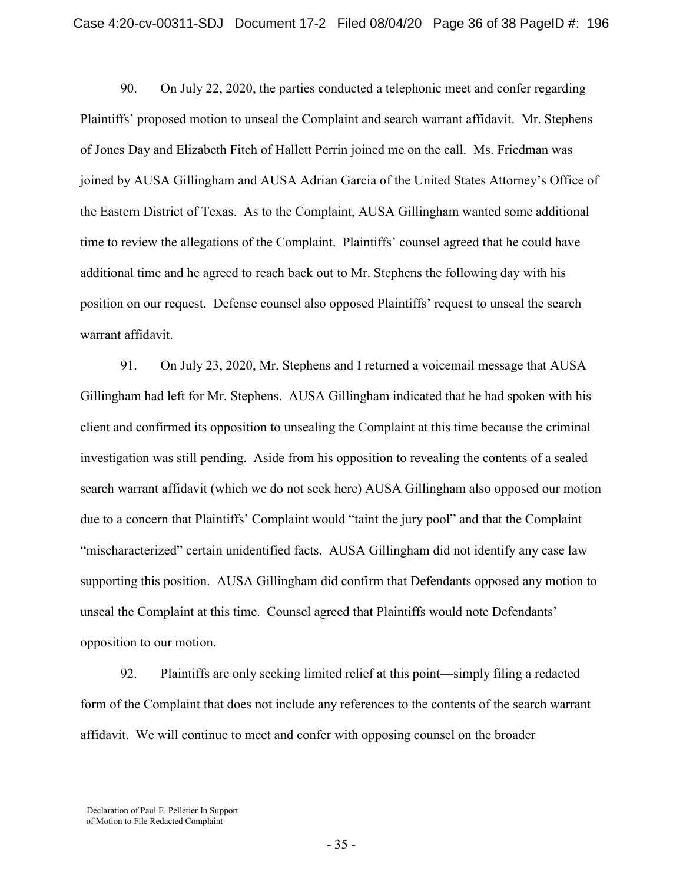90. On July 22, 2020, the parties conducted a telephonic meet and confer regarding Plaintiffs' proposed motion to unseal the Complaint and search warrant affidavit. Mr. Stephens of Jones Day and Elizabeth Fitch of Hallett Perrin joined me on the call. Ms. Friedman was joined by AUSA Gillingham and AUSA Adrian Garcia of the United States Attorney's Office of the Eastern District of Texas. As to the Complaint, AUSA Gillingham wanted some additional time to review the allegations of the Complaint. Plaintiffs' counsel agreed that he could have additional time and he agreed to reach back out to Mr. Stephens the following day with his position on our request. Defense counsel also opposed Plaintiffs' request to unseal the search warrant affidavit.

91. On July 23, 2020, Mr. Stephens and I returned a voicemail message that AUSA Gillingham had left for Mr. Stephens. AUSA Gillingham indicated that he had spoken with his client and confirmed its opposition to unsealing the Complaint at this time because the criminal investigation was still pending. Aside from his opposition to revealing the contents of a sealed search warrant affidavit (which we do not seek here) AUSA Gillingham also opposed our motion due to a concern that Plaintiffs' Complaint would "taint the jury pool" and that the Complaint "mischaracterized" certain unidentified facts. AUSA Gillingham did not identify any case law supporting this position. AUSA Gillingham did confirm that Defendants opposed any motion to unseal the Complaint at this time. Counsel agreed that Plaintiffs would note Defendants' opposition to our motion.

92. Plaintiffs are only seeking limited relief at this point—simply filing a redacted form of the Complaint that does not include any references to the contents of the search warrant affidavit. We will continue to meet and confer with opposing counsel on the broader

Declaration of Paul E. Pelletier In Support of Motion to File Redacted Complaint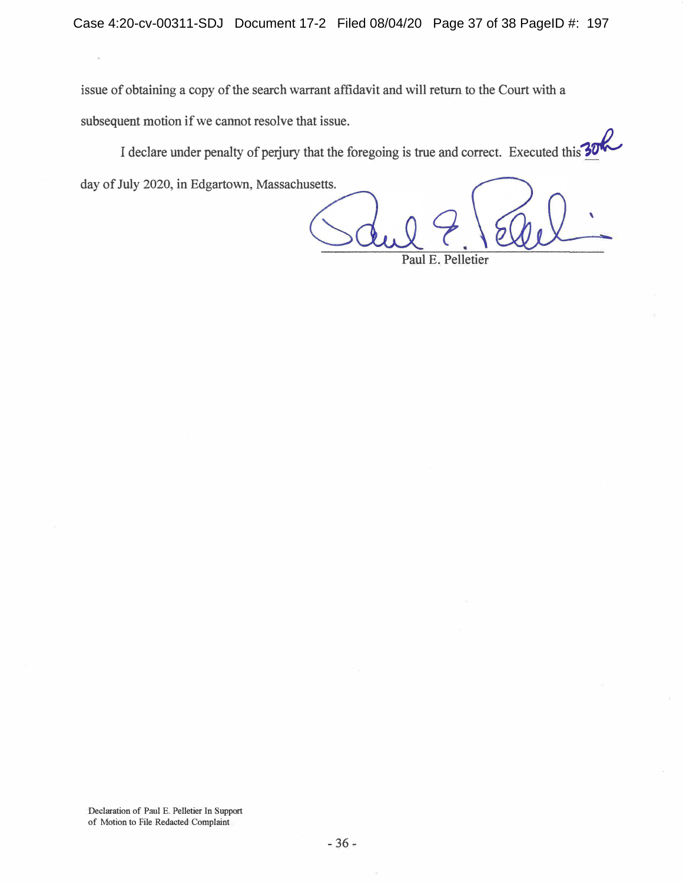issue of obtaining a copy of the search warrant affidavit and will return to the Court with a subsequent motion if we cannot resolve that issue.

I declare under penalty of perjury that the foregoing is true and correct. Executed this  $30\%$ day of July 2020, in Edgartown, Massachusetts.

9 \ Paul E. Pelletier